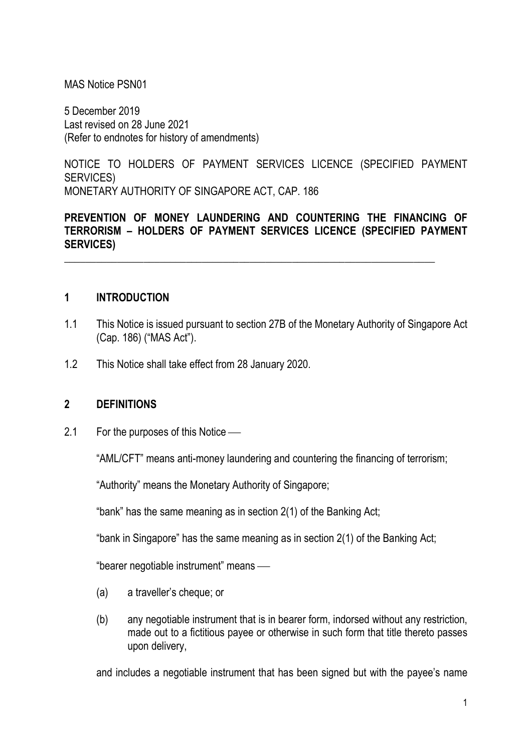MAS Notice PSN01

5 December 2019 Last revised on 28 June 2021 (Refer to endnotes for history of amendments)

NOTICE TO HOLDERS OF PAYMENT SERVICES LICENCE (SPECIFIED PAYMENT SERVICES) MONETARY AUTHORITY OF SINGAPORE ACT, CAP. 186

### PREVENTION OF MONEY LAUNDERING AND COUNTERING THE FINANCING OF TERRORISM – HOLDERS OF PAYMENT SERVICES LICENCE (SPECIFIED PAYMENT SERVICES)

\_\_\_\_\_\_\_\_\_\_\_\_\_\_\_\_\_\_\_\_\_\_\_\_\_\_\_\_\_\_\_\_\_\_\_\_\_\_\_\_\_\_\_\_\_\_\_\_\_\_\_\_\_\_\_\_\_\_\_\_\_\_\_\_\_\_\_\_\_\_

#### 1 INTRODUCTION

- 1.1 This Notice is issued pursuant to section 27B of the Monetary Authority of Singapore Act (Cap. 186) ("MAS Act").
- 1.2 This Notice shall take effect from 28 January 2020.

#### 2 DEFINITIONS

2.1 For the purposes of this Notice —

"AML/CFT" means anti-money laundering and countering the financing of terrorism;

"Authority" means the Monetary Authority of Singapore;

"bank" has the same meaning as in section 2(1) of the Banking Act;

"bank in Singapore" has the same meaning as in section 2(1) of the Banking Act;

"bearer negotiable instrument" means

- (a) a traveller's cheque; or
- (b) any negotiable instrument that is in bearer form, indorsed without any restriction, made out to a fictitious payee or otherwise in such form that title thereto passes upon delivery,

and includes a negotiable instrument that has been signed but with the payee's name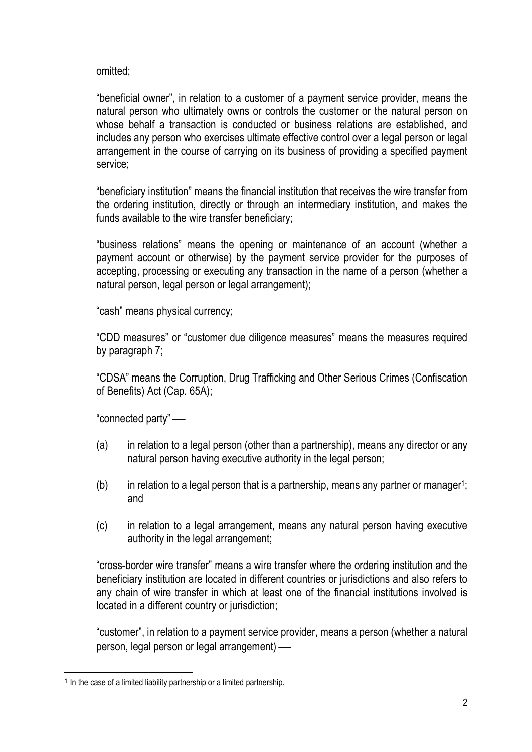omitted;

"beneficial owner", in relation to a customer of a payment service provider, means the natural person who ultimately owns or controls the customer or the natural person on whose behalf a transaction is conducted or business relations are established, and includes any person who exercises ultimate effective control over a legal person or legal arrangement in the course of carrying on its business of providing a specified payment service;

"beneficiary institution" means the financial institution that receives the wire transfer from the ordering institution, directly or through an intermediary institution, and makes the funds available to the wire transfer beneficiary;

"business relations" means the opening or maintenance of an account (whether a payment account or otherwise) by the payment service provider for the purposes of accepting, processing or executing any transaction in the name of a person (whether a natural person, legal person or legal arrangement);

"cash" means physical currency;

"CDD measures" or "customer due diligence measures" means the measures required by paragraph 7;

"CDSA" means the Corruption, Drug Trafficking and Other Serious Crimes (Confiscation of Benefits) Act (Cap. 65A);

"connected party"

- (a) in relation to a legal person (other than a partnership), means any director or any natural person having executive authority in the legal person;
- $(b)$  in relation to a legal person that is a partnership, means any partner or manager<sup>1</sup>; and
- (c) in relation to a legal arrangement, means any natural person having executive authority in the legal arrangement;

"cross-border wire transfer" means a wire transfer where the ordering institution and the beneficiary institution are located in different countries or jurisdictions and also refers to any chain of wire transfer in which at least one of the financial institutions involved is located in a different country or jurisdiction;

"customer", in relation to a payment service provider, means a person (whether a natural person, legal person or legal arrangement)

<sup>&</sup>lt;sup>1</sup> In the case of a limited liability partnership or a limited partnership.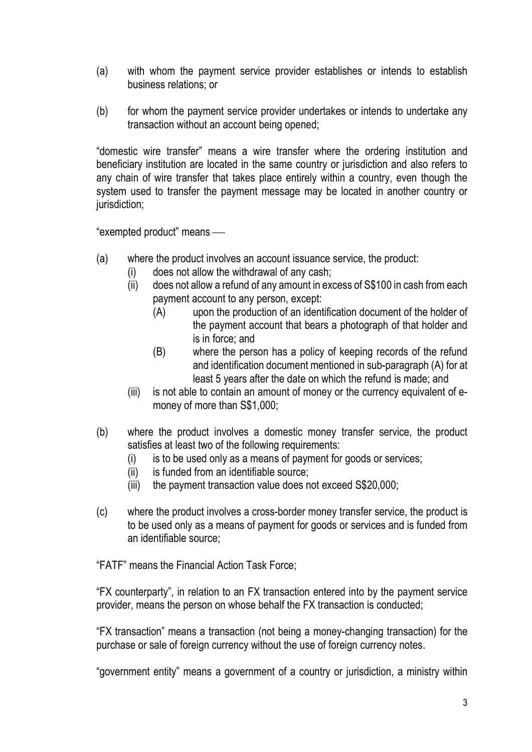- (a) with whom the payment service provider establishes or intends to establish business relations; or
- (b) for whom the payment service provider undertakes or intends to undertake any transaction without an account being opened;

"domestic wire transfer" means a wire transfer where the ordering institution and beneficiary institution are located in the same country or jurisdiction and also refers to any chain of wire transfer that takes place entirely within a country, even though the system used to transfer the payment message may be located in another country or jurisdiction;

"exempted product" means

- (a) where the product involves an account issuance service, the product:
	- (i) does not allow the withdrawal of any cash;
	- (ii) does not allow a refund of any amount in excess of S\$100 in cash from each payment account to any person, except:
		- (A) upon the production of an identification document of the holder of the payment account that bears a photograph of that holder and is in force; and
		- (B) where the person has a policy of keeping records of the refund and identification document mentioned in sub-paragraph (A) for at least 5 years after the date on which the refund is made; and
	- (iii) is not able to contain an amount of money or the currency equivalent of emoney of more than S\$1,000;
- (b) where the product involves a domestic money transfer service, the product satisfies at least two of the following requirements:
	- (i) is to be used only as a means of payment for goods or services;
	- (ii) is funded from an identifiable source;
	- (iii) the payment transaction value does not exceed S\$20,000;
- (c) where the product involves a cross-border money transfer service, the product is to be used only as a means of payment for goods or services and is funded from an identifiable source;

"FATF" means the Financial Action Task Force;

"FX counterparty", in relation to an FX transaction entered into by the payment service provider, means the person on whose behalf the FX transaction is conducted;

"FX transaction" means a transaction (not being a money-changing transaction) for the purchase or sale of foreign currency without the use of foreign currency notes.

"government entity" means a government of a country or jurisdiction, a ministry within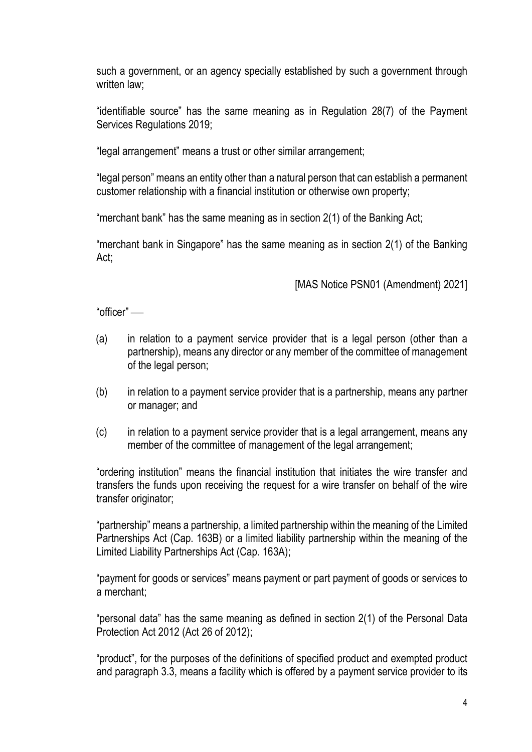such a government, or an agency specially established by such a government through written law:

"identifiable source" has the same meaning as in Regulation 28(7) of the Payment Services Regulations 2019;

"legal arrangement" means a trust or other similar arrangement;

"legal person" means an entity other than a natural person that can establish a permanent customer relationship with a financial institution or otherwise own property;

"merchant bank" has the same meaning as in section 2(1) of the Banking Act;

 "merchant bank in Singapore" has the same meaning as in section 2(1) of the Banking Act;

[MAS Notice PSN01 (Amendment) 2021]

"officer"

- (a) in relation to a payment service provider that is a legal person (other than a partnership), means any director or any member of the committee of management of the legal person;
- (b) in relation to a payment service provider that is a partnership, means any partner or manager; and
- (c) in relation to a payment service provider that is a legal arrangement, means any member of the committee of management of the legal arrangement;

"ordering institution" means the financial institution that initiates the wire transfer and transfers the funds upon receiving the request for a wire transfer on behalf of the wire transfer originator;

"partnership" means a partnership, a limited partnership within the meaning of the Limited Partnerships Act (Cap. 163B) or a limited liability partnership within the meaning of the Limited Liability Partnerships Act (Cap. 163A);

"payment for goods or services" means payment or part payment of goods or services to a merchant;

"personal data" has the same meaning as defined in section 2(1) of the Personal Data Protection Act 2012 (Act 26 of 2012);

"product", for the purposes of the definitions of specified product and exempted product and paragraph 3.3, means a facility which is offered by a payment service provider to its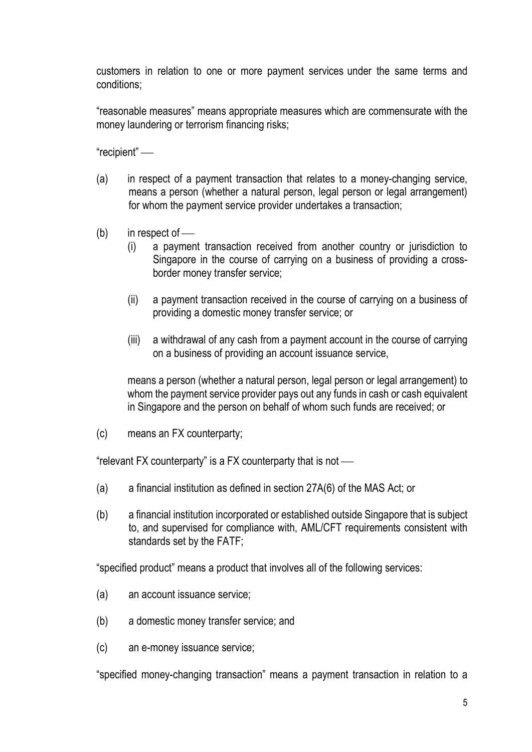customers in relation to one or more payment services under the same terms and conditions;

"reasonable measures" means appropriate measures which are commensurate with the money laundering or terrorism financing risks;

"recipient"

- (a) in respect of a payment transaction that relates to a money-changing service, means a person (whether a natural person, legal person or legal arrangement) for whom the payment service provider undertakes a transaction;
- $(b)$  in respect of
	- (i) a payment transaction received from another country or jurisdiction to Singapore in the course of carrying on a business of providing a crossborder money transfer service;
	- (ii) a payment transaction received in the course of carrying on a business of providing a domestic money transfer service; or
	- (iii) a withdrawal of any cash from a payment account in the course of carrying on a business of providing an account issuance service,

means a person (whether a natural person, legal person or legal arrangement) to whom the payment service provider pays out any funds in cash or cash equivalent in Singapore and the person on behalf of whom such funds are received; or

(c) means an FX counterparty;

"relevant FX counterparty" is a FX counterparty that is not

- (a) a financial institution as defined in section 27A(6) of the MAS Act; or
- (b) a financial institution incorporated or established outside Singapore that is subject to, and supervised for compliance with, AML/CFT requirements consistent with standards set by the FATF;

"specified product" means a product that involves all of the following services:

- (a) an account issuance service;
- (b) a domestic money transfer service; and
- (c) an e-money issuance service;

"specified money-changing transaction" means a payment transaction in relation to a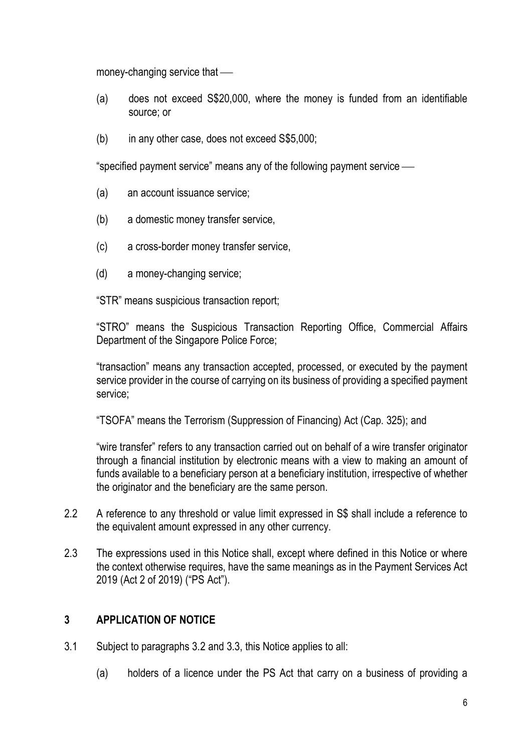money-changing service that

- (a) does not exceed S\$20,000, where the money is funded from an identifiable source; or
- (b) in any other case, does not exceed S\$5,000;

"specified payment service" means any of the following payment service

- (a) an account issuance service;
- (b) a domestic money transfer service,
- (c) a cross-border money transfer service,
- (d) a money-changing service;

"STR" means suspicious transaction report;

"STRO" means the Suspicious Transaction Reporting Office, Commercial Affairs Department of the Singapore Police Force;

"transaction" means any transaction accepted, processed, or executed by the payment service provider in the course of carrying on its business of providing a specified payment service;

"TSOFA" means the Terrorism (Suppression of Financing) Act (Cap. 325); and

"wire transfer" refers to any transaction carried out on behalf of a wire transfer originator through a financial institution by electronic means with a view to making an amount of funds available to a beneficiary person at a beneficiary institution, irrespective of whether the originator and the beneficiary are the same person.

- 2.2 A reference to any threshold or value limit expressed in S\$ shall include a reference to the equivalent amount expressed in any other currency.
- 2.3 The expressions used in this Notice shall, except where defined in this Notice or where the context otherwise requires, have the same meanings as in the Payment Services Act 2019 (Act 2 of 2019) ("PS Act").

## 3 APPLICATION OF NOTICE

- 3.1 Subject to paragraphs 3.2 and 3.3, this Notice applies to all:
	- (a) holders of a licence under the PS Act that carry on a business of providing a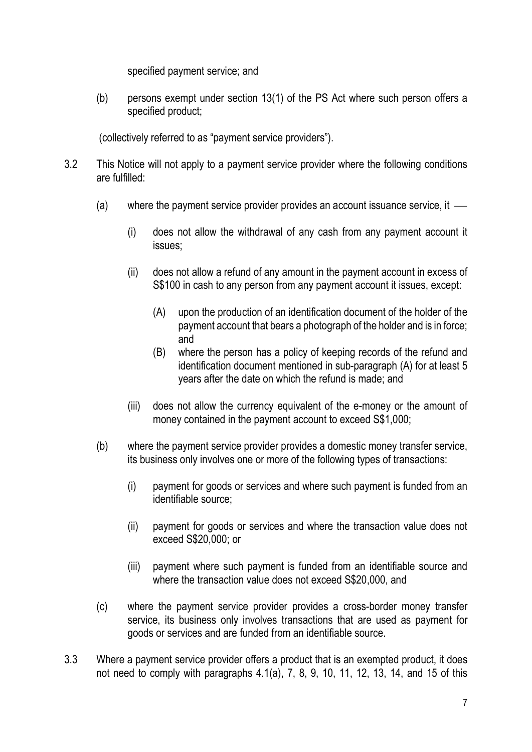specified payment service; and

(b) persons exempt under section 13(1) of the PS Act where such person offers a specified product;

(collectively referred to as "payment service providers").

- 3.2 This Notice will not apply to a payment service provider where the following conditions are fulfilled:
	- (a) where the payment service provider provides an account issuance service, it
		- (i) does not allow the withdrawal of any cash from any payment account it issues;
		- (ii) does not allow a refund of any amount in the payment account in excess of S\$100 in cash to any person from any payment account it issues, except:
			- (A) upon the production of an identification document of the holder of the payment account that bears a photograph of the holder and is in force; and
			- (B) where the person has a policy of keeping records of the refund and identification document mentioned in sub-paragraph (A) for at least 5 years after the date on which the refund is made; and
		- (iii) does not allow the currency equivalent of the e-money or the amount of money contained in the payment account to exceed S\$1,000;
	- (b) where the payment service provider provides a domestic money transfer service, its business only involves one or more of the following types of transactions:
		- (i) payment for goods or services and where such payment is funded from an identifiable source;
		- (ii) payment for goods or services and where the transaction value does not exceed S\$20,000; or
		- (iii) payment where such payment is funded from an identifiable source and where the transaction value does not exceed S\$20,000, and
	- (c) where the payment service provider provides a cross-border money transfer service, its business only involves transactions that are used as payment for goods or services and are funded from an identifiable source.
- 3.3 Where a payment service provider offers a product that is an exempted product, it does not need to comply with paragraphs 4.1(a), 7, 8, 9, 10, 11, 12, 13, 14, and 15 of this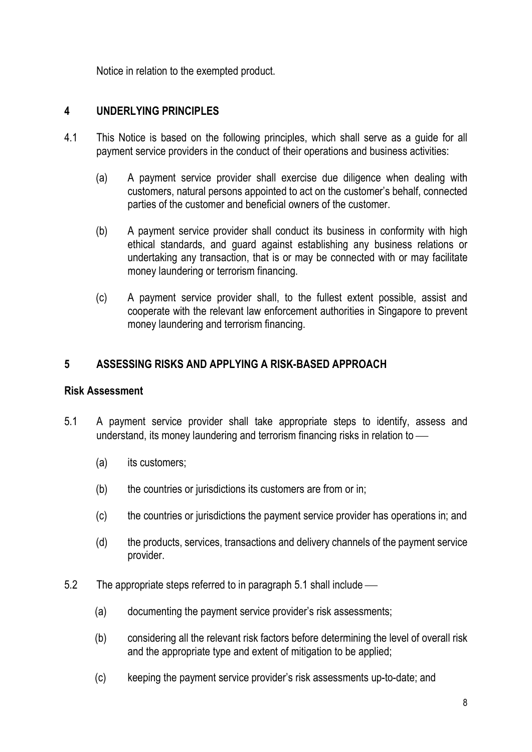Notice in relation to the exempted product.

# 4 UNDERLYING PRINCIPLES

- 4.1 This Notice is based on the following principles, which shall serve as a guide for all payment service providers in the conduct of their operations and business activities:
	- (a) A payment service provider shall exercise due diligence when dealing with customers, natural persons appointed to act on the customer's behalf, connected parties of the customer and beneficial owners of the customer.
	- (b) A payment service provider shall conduct its business in conformity with high ethical standards, and guard against establishing any business relations or undertaking any transaction, that is or may be connected with or may facilitate money laundering or terrorism financing.
	- (c) A payment service provider shall, to the fullest extent possible, assist and cooperate with the relevant law enforcement authorities in Singapore to prevent money laundering and terrorism financing.

# 5 ASSESSING RISKS AND APPLYING A RISK-BASED APPROACH

### Risk Assessment

- 5.1 A payment service provider shall take appropriate steps to identify, assess and understand, its money laundering and terrorism financing risks in relation to
	- (a) its customers;
	- (b) the countries or jurisdictions its customers are from or in;
	- (c) the countries or jurisdictions the payment service provider has operations in; and
	- (d) the products, services, transactions and delivery channels of the payment service provider.
- 5.2 The appropriate steps referred to in paragraph 5.1 shall include
	- (a) documenting the payment service provider's risk assessments;
	- (b) considering all the relevant risk factors before determining the level of overall risk and the appropriate type and extent of mitigation to be applied;
	- (c) keeping the payment service provider's risk assessments up-to-date; and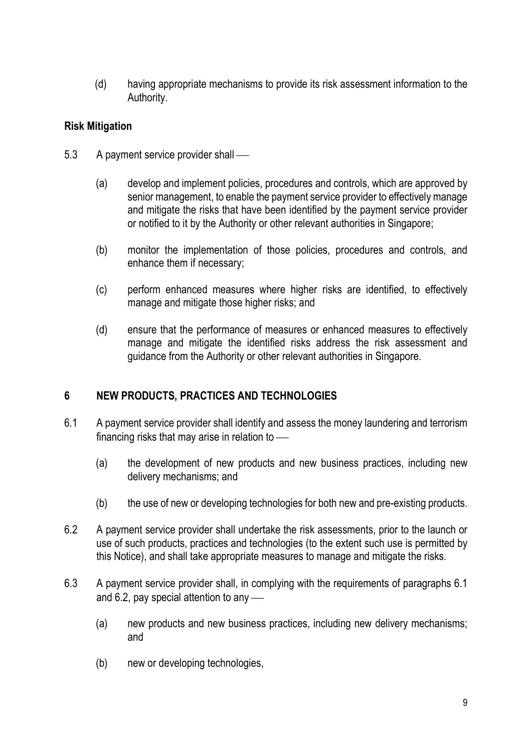(d) having appropriate mechanisms to provide its risk assessment information to the Authority.

## Risk Mitigation

- 5.3 A payment service provider shall
	- (a) develop and implement policies, procedures and controls, which are approved by senior management, to enable the payment service provider to effectively manage and mitigate the risks that have been identified by the payment service provider or notified to it by the Authority or other relevant authorities in Singapore;
	- (b) monitor the implementation of those policies, procedures and controls, and enhance them if necessary;
	- (c) perform enhanced measures where higher risks are identified, to effectively manage and mitigate those higher risks; and
	- (d) ensure that the performance of measures or enhanced measures to effectively manage and mitigate the identified risks address the risk assessment and guidance from the Authority or other relevant authorities in Singapore.

## 6 NEW PRODUCTS, PRACTICES AND TECHNOLOGIES

- 6.1 A payment service provider shall identify and assess the money laundering and terrorism financing risks that may arise in relation to
	- (a) the development of new products and new business practices, including new delivery mechanisms; and
	- (b) the use of new or developing technologies for both new and pre-existing products.
- 6.2 A payment service provider shall undertake the risk assessments, prior to the launch or use of such products, practices and technologies (to the extent such use is permitted by this Notice), and shall take appropriate measures to manage and mitigate the risks.
- 6.3 A payment service provider shall, in complying with the requirements of paragraphs 6.1 and 6.2, pay special attention to any
	- (a) new products and new business practices, including new delivery mechanisms; and
	- (b) new or developing technologies,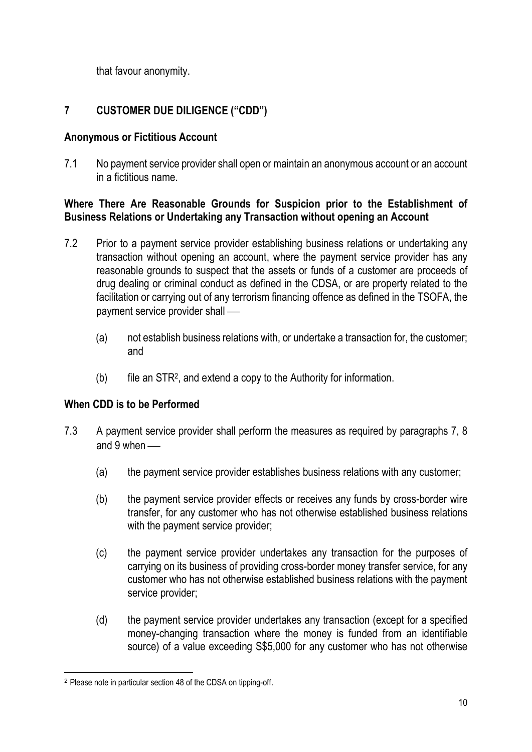that favour anonymity.

# 7 CUSTOMER DUE DILIGENCE ("CDD")

### Anonymous or Fictitious Account

7.1 No payment service provider shall open or maintain an anonymous account or an account in a fictitious name.

### Where There Are Reasonable Grounds for Suspicion prior to the Establishment of Business Relations or Undertaking any Transaction without opening an Account

- 7.2 Prior to a payment service provider establishing business relations or undertaking any transaction without opening an account, where the payment service provider has any reasonable grounds to suspect that the assets or funds of a customer are proceeds of drug dealing or criminal conduct as defined in the CDSA, or are property related to the facilitation or carrying out of any terrorism financing offence as defined in the TSOFA, the payment service provider shall
	- (a) not establish business relations with, or undertake a transaction for, the customer; and
	- (b) file an STR<sup>2</sup> , and extend a copy to the Authority for information.

## When CDD is to be Performed

- 7.3 A payment service provider shall perform the measures as required by paragraphs 7, 8 and 9 when —
	- (a) the payment service provider establishes business relations with any customer;
	- (b) the payment service provider effects or receives any funds by cross-border wire transfer, for any customer who has not otherwise established business relations with the payment service provider;
	- (c) the payment service provider undertakes any transaction for the purposes of carrying on its business of providing cross-border money transfer service, for any customer who has not otherwise established business relations with the payment service provider;
	- (d) the payment service provider undertakes any transaction (except for a specified money-changing transaction where the money is funded from an identifiable source) of a value exceeding S\$5,000 for any customer who has not otherwise

<sup>2</sup> Please note in particular section 48 of the CDSA on tipping-off.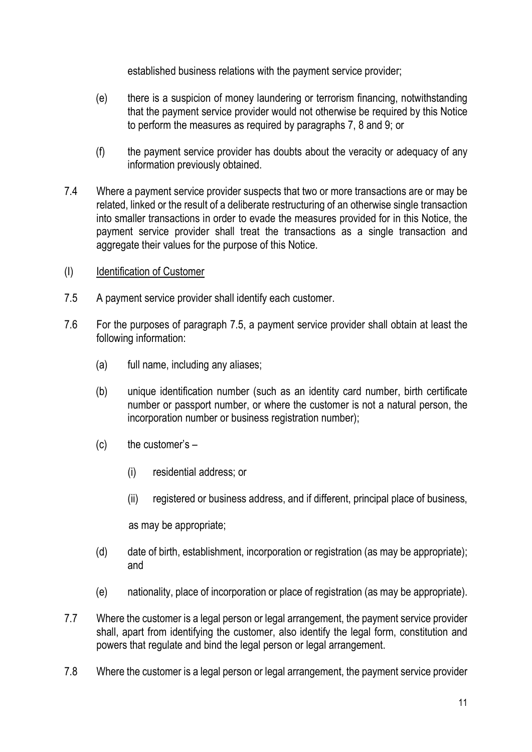established business relations with the payment service provider;

- (e) there is a suspicion of money laundering or terrorism financing, notwithstanding that the payment service provider would not otherwise be required by this Notice to perform the measures as required by paragraphs 7, 8 and 9; or
- (f) the payment service provider has doubts about the veracity or adequacy of any information previously obtained.
- 7.4 Where a payment service provider suspects that two or more transactions are or may be related, linked or the result of a deliberate restructuring of an otherwise single transaction into smaller transactions in order to evade the measures provided for in this Notice, the payment service provider shall treat the transactions as a single transaction and aggregate their values for the purpose of this Notice.
- (I) Identification of Customer
- 7.5 A payment service provider shall identify each customer.
- 7.6 For the purposes of paragraph 7.5, a payment service provider shall obtain at least the following information:
	- (a) full name, including any aliases;
	- (b) unique identification number (such as an identity card number, birth certificate number or passport number, or where the customer is not a natural person, the incorporation number or business registration number);
	- (c) the customer's
		- (i) residential address; or
		- (ii) registered or business address, and if different, principal place of business,

as may be appropriate;

- (d) date of birth, establishment, incorporation or registration (as may be appropriate); and
- (e) nationality, place of incorporation or place of registration (as may be appropriate).
- 7.7 Where the customer is a legal person or legal arrangement, the payment service provider shall, apart from identifying the customer, also identify the legal form, constitution and powers that regulate and bind the legal person or legal arrangement.
- 7.8 Where the customer is a legal person or legal arrangement, the payment service provider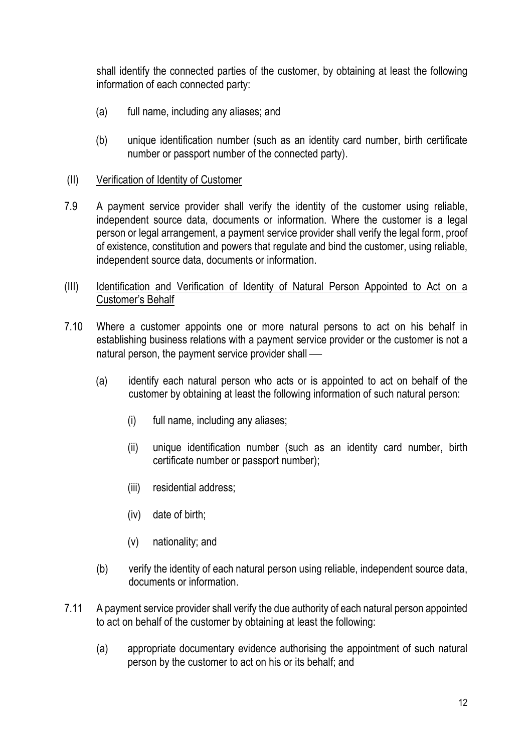shall identify the connected parties of the customer, by obtaining at least the following information of each connected party:

- (a) full name, including any aliases; and
- (b) unique identification number (such as an identity card number, birth certificate number or passport number of the connected party).
- (II) Verification of Identity of Customer
- 7.9 A payment service provider shall verify the identity of the customer using reliable, independent source data, documents or information. Where the customer is a legal person or legal arrangement, a payment service provider shall verify the legal form, proof of existence, constitution and powers that regulate and bind the customer, using reliable, independent source data, documents or information.
- (III) Identification and Verification of Identity of Natural Person Appointed to Act on a Customer's Behalf
- 7.10 Where a customer appoints one or more natural persons to act on his behalf in establishing business relations with a payment service provider or the customer is not a natural person, the payment service provider shall
	- (a) identify each natural person who acts or is appointed to act on behalf of the customer by obtaining at least the following information of such natural person:
		- (i) full name, including any aliases;
		- (ii) unique identification number (such as an identity card number, birth certificate number or passport number);
		- (iii) residential address;
		- (iv) date of birth;
		- (v) nationality; and
	- (b) verify the identity of each natural person using reliable, independent source data, documents or information.
- 7.11 A payment service provider shall verify the due authority of each natural person appointed to act on behalf of the customer by obtaining at least the following:
	- (a) appropriate documentary evidence authorising the appointment of such natural person by the customer to act on his or its behalf; and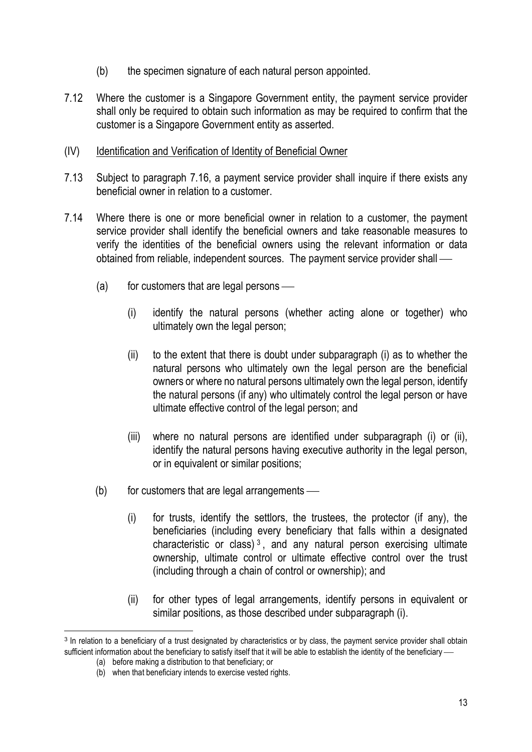- (b) the specimen signature of each natural person appointed.
- 7.12 Where the customer is a Singapore Government entity, the payment service provider shall only be required to obtain such information as may be required to confirm that the customer is a Singapore Government entity as asserted.

### (IV) Identification and Verification of Identity of Beneficial Owner

- 7.13 Subject to paragraph 7.16, a payment service provider shall inquire if there exists any beneficial owner in relation to a customer.
- 7.14 Where there is one or more beneficial owner in relation to a customer, the payment service provider shall identify the beneficial owners and take reasonable measures to verify the identities of the beneficial owners using the relevant information or data obtained from reliable, independent sources. The payment service provider shall
	- $(a)$  for customers that are legal persons
		- (i) identify the natural persons (whether acting alone or together) who ultimately own the legal person;
		- (ii) to the extent that there is doubt under subparagraph (i) as to whether the natural persons who ultimately own the legal person are the beneficial owners or where no natural persons ultimately own the legal person, identify the natural persons (if any) who ultimately control the legal person or have ultimate effective control of the legal person; and
		- (iii) where no natural persons are identified under subparagraph (i) or (ii), identify the natural persons having executive authority in the legal person, or in equivalent or similar positions;
	- $(b)$  for customers that are legal arrangements
		- (i) for trusts, identify the settlors, the trustees, the protector (if any), the beneficiaries (including every beneficiary that falls within a designated characteristic or class)<sup>3</sup>, and any natural person exercising ultimate ownership, ultimate control or ultimate effective control over the trust (including through a chain of control or ownership); and
		- (ii) for other types of legal arrangements, identify persons in equivalent or similar positions, as those described under subparagraph (i).

<sup>&</sup>lt;sup>3</sup> In relation to a beneficiary of a trust designated by characteristics or by class, the payment service provider shall obtain sufficient information about the beneficiary to satisfy itself that it will be able to establish the identity of the beneficiary -

<sup>(</sup>a) before making a distribution to that beneficiary; or

<sup>(</sup>b) when that beneficiary intends to exercise vested rights.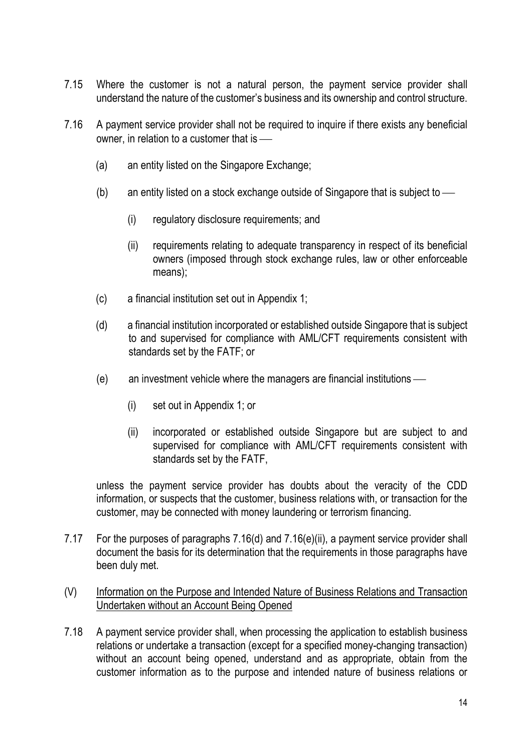- 7.15 Where the customer is not a natural person, the payment service provider shall understand the nature of the customer's business and its ownership and control structure.
- 7.16 A payment service provider shall not be required to inquire if there exists any beneficial owner, in relation to a customer that is
	- (a) an entity listed on the Singapore Exchange;
	- (b) an entity listed on a stock exchange outside of Singapore that is subject to
		- (i) regulatory disclosure requirements; and
		- (ii) requirements relating to adequate transparency in respect of its beneficial owners (imposed through stock exchange rules, law or other enforceable means);
	- (c) a financial institution set out in Appendix 1;
	- (d) a financial institution incorporated or established outside Singapore that is subject to and supervised for compliance with AML/CFT requirements consistent with standards set by the FATF; or
	- (e) an investment vehicle where the managers are financial institutions
		- (i) set out in Appendix 1; or
		- (ii) incorporated or established outside Singapore but are subject to and supervised for compliance with AML/CFT requirements consistent with standards set by the FATF,

unless the payment service provider has doubts about the veracity of the CDD information, or suspects that the customer, business relations with, or transaction for the customer, may be connected with money laundering or terrorism financing.

7.17 For the purposes of paragraphs 7.16(d) and 7.16(e)(ii), a payment service provider shall document the basis for its determination that the requirements in those paragraphs have been duly met.

### (V) Information on the Purpose and Intended Nature of Business Relations and Transaction Undertaken without an Account Being Opened

7.18 A payment service provider shall, when processing the application to establish business relations or undertake a transaction (except for a specified money-changing transaction) without an account being opened, understand and as appropriate, obtain from the customer information as to the purpose and intended nature of business relations or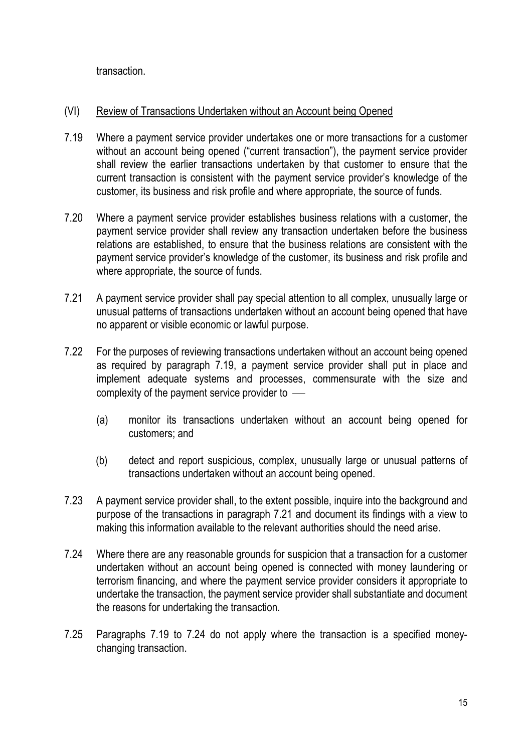transaction.

### (VI) Review of Transactions Undertaken without an Account being Opened

- 7.19 Where a payment service provider undertakes one or more transactions for a customer without an account being opened ("current transaction"), the payment service provider shall review the earlier transactions undertaken by that customer to ensure that the current transaction is consistent with the payment service provider's knowledge of the customer, its business and risk profile and where appropriate, the source of funds.
- 7.20 Where a payment service provider establishes business relations with a customer, the payment service provider shall review any transaction undertaken before the business relations are established, to ensure that the business relations are consistent with the payment service provider's knowledge of the customer, its business and risk profile and where appropriate, the source of funds.
- 7.21 A payment service provider shall pay special attention to all complex, unusually large or unusual patterns of transactions undertaken without an account being opened that have no apparent or visible economic or lawful purpose.
- 7.22 For the purposes of reviewing transactions undertaken without an account being opened as required by paragraph 7.19, a payment service provider shall put in place and implement adequate systems and processes, commensurate with the size and complexity of the payment service provider to
	- (a) monitor its transactions undertaken without an account being opened for customers; and
	- (b) detect and report suspicious, complex, unusually large or unusual patterns of transactions undertaken without an account being opened.
- 7.23 A payment service provider shall, to the extent possible, inquire into the background and purpose of the transactions in paragraph 7.21 and document its findings with a view to making this information available to the relevant authorities should the need arise.
- 7.24 Where there are any reasonable grounds for suspicion that a transaction for a customer undertaken without an account being opened is connected with money laundering or terrorism financing, and where the payment service provider considers it appropriate to undertake the transaction, the payment service provider shall substantiate and document the reasons for undertaking the transaction.
- 7.25 Paragraphs 7.19 to 7.24 do not apply where the transaction is a specified moneychanging transaction.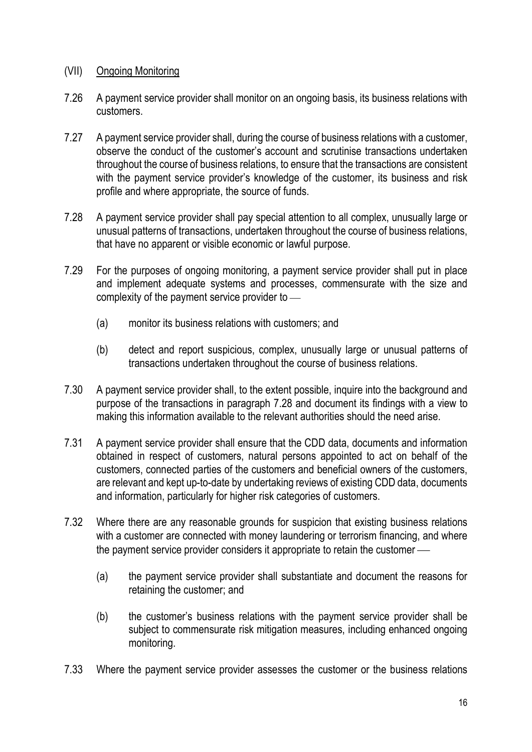### (VII) Ongoing Monitoring

- 7.26 A payment service provider shall monitor on an ongoing basis, its business relations with customers.
- 7.27 A payment service provider shall, during the course of business relations with a customer, observe the conduct of the customer's account and scrutinise transactions undertaken throughout the course of business relations, to ensure that the transactions are consistent with the payment service provider's knowledge of the customer, its business and risk profile and where appropriate, the source of funds.
- 7.28 A payment service provider shall pay special attention to all complex, unusually large or unusual patterns of transactions, undertaken throughout the course of business relations, that have no apparent or visible economic or lawful purpose.
- 7.29 For the purposes of ongoing monitoring, a payment service provider shall put in place and implement adequate systems and processes, commensurate with the size and complexity of the payment service provider to
	- (a) monitor its business relations with customers; and
	- (b) detect and report suspicious, complex, unusually large or unusual patterns of transactions undertaken throughout the course of business relations.
- 7.30 A payment service provider shall, to the extent possible, inquire into the background and purpose of the transactions in paragraph 7.28 and document its findings with a view to making this information available to the relevant authorities should the need arise.
- 7.31 A payment service provider shall ensure that the CDD data, documents and information obtained in respect of customers, natural persons appointed to act on behalf of the customers, connected parties of the customers and beneficial owners of the customers, are relevant and kept up-to-date by undertaking reviews of existing CDD data, documents and information, particularly for higher risk categories of customers.
- 7.32 Where there are any reasonable grounds for suspicion that existing business relations with a customer are connected with money laundering or terrorism financing, and where the payment service provider considers it appropriate to retain the customer
	- (a) the payment service provider shall substantiate and document the reasons for retaining the customer; and
	- (b) the customer's business relations with the payment service provider shall be subject to commensurate risk mitigation measures, including enhanced ongoing monitoring.
- 7.33 Where the payment service provider assesses the customer or the business relations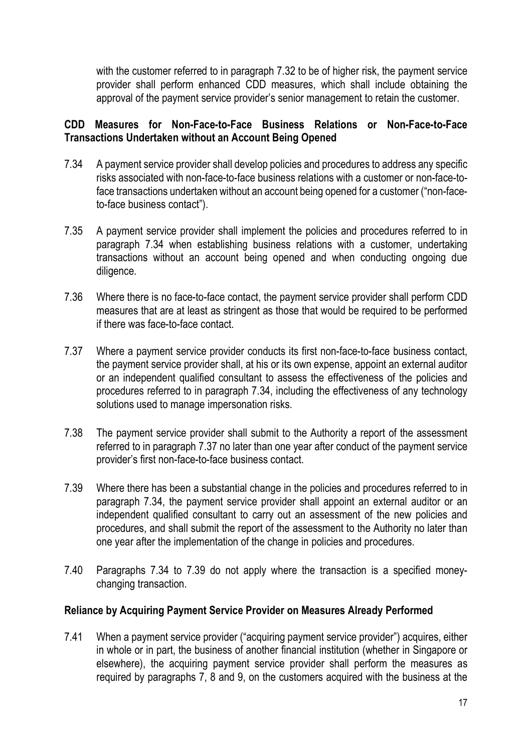with the customer referred to in paragraph 7.32 to be of higher risk, the payment service provider shall perform enhanced CDD measures, which shall include obtaining the approval of the payment service provider's senior management to retain the customer.

### CDD Measures for Non-Face-to-Face Business Relations or Non-Face-to-Face Transactions Undertaken without an Account Being Opened

- 7.34 A payment service provider shall develop policies and procedures to address any specific risks associated with non-face-to-face business relations with a customer or non-face-toface transactions undertaken without an account being opened for a customer ("non-faceto-face business contact").
- 7.35 A payment service provider shall implement the policies and procedures referred to in paragraph 7.34 when establishing business relations with a customer, undertaking transactions without an account being opened and when conducting ongoing due diligence.
- 7.36 Where there is no face-to-face contact, the payment service provider shall perform CDD measures that are at least as stringent as those that would be required to be performed if there was face-to-face contact.
- 7.37 Where a payment service provider conducts its first non-face-to-face business contact, the payment service provider shall, at his or its own expense, appoint an external auditor or an independent qualified consultant to assess the effectiveness of the policies and procedures referred to in paragraph 7.34, including the effectiveness of any technology solutions used to manage impersonation risks.
- 7.38 The payment service provider shall submit to the Authority a report of the assessment referred to in paragraph 7.37 no later than one year after conduct of the payment service provider's first non-face-to-face business contact.
- 7.39 Where there has been a substantial change in the policies and procedures referred to in paragraph 7.34, the payment service provider shall appoint an external auditor or an independent qualified consultant to carry out an assessment of the new policies and procedures, and shall submit the report of the assessment to the Authority no later than one year after the implementation of the change in policies and procedures.
- 7.40 Paragraphs 7.34 to 7.39 do not apply where the transaction is a specified moneychanging transaction.

### Reliance by Acquiring Payment Service Provider on Measures Already Performed

7.41 When a payment service provider ("acquiring payment service provider") acquires, either in whole or in part, the business of another financial institution (whether in Singapore or elsewhere), the acquiring payment service provider shall perform the measures as required by paragraphs 7, 8 and 9, on the customers acquired with the business at the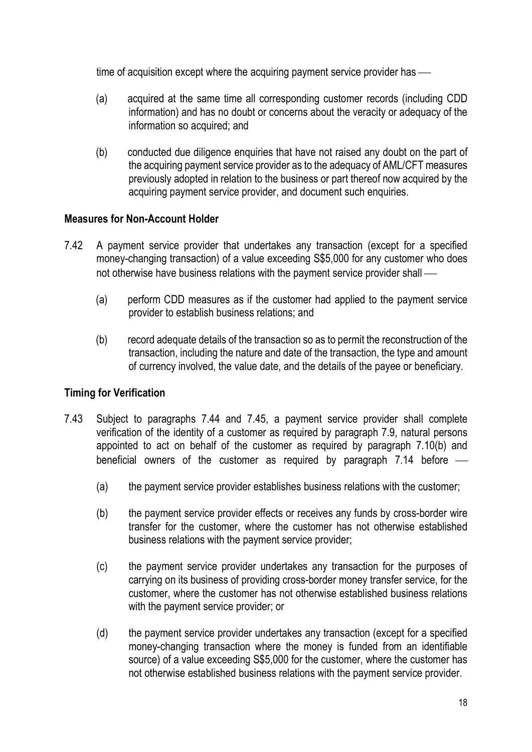time of acquisition except where the acquiring payment service provider has —

- (a) acquired at the same time all corresponding customer records (including CDD information) and has no doubt or concerns about the veracity or adequacy of the information so acquired; and
- (b) conducted due diligence enquiries that have not raised any doubt on the part of the acquiring payment service provider as to the adequacy of AML/CFT measures previously adopted in relation to the business or part thereof now acquired by the acquiring payment service provider, and document such enquiries.

## Measures for Non-Account Holder

- 7.42 A payment service provider that undertakes any transaction (except for a specified money-changing transaction) of a value exceeding S\$5,000 for any customer who does not otherwise have business relations with the payment service provider shall
	- (a) perform CDD measures as if the customer had applied to the payment service provider to establish business relations; and
	- (b) record adequate details of the transaction so as to permit the reconstruction of the transaction, including the nature and date of the transaction, the type and amount of currency involved, the value date, and the details of the payee or beneficiary.

### Timing for Verification

- 7.43 Subject to paragraphs 7.44 and 7.45, a payment service provider shall complete verification of the identity of a customer as required by paragraph 7.9, natural persons appointed to act on behalf of the customer as required by paragraph 7.10(b) and beneficial owners of the customer as required by paragraph 7.14 before
	- (a) the payment service provider establishes business relations with the customer;
	- (b) the payment service provider effects or receives any funds by cross-border wire transfer for the customer, where the customer has not otherwise established business relations with the payment service provider;
	- (c) the payment service provider undertakes any transaction for the purposes of carrying on its business of providing cross-border money transfer service, for the customer, where the customer has not otherwise established business relations with the payment service provider; or
	- (d) the payment service provider undertakes any transaction (except for a specified money-changing transaction where the money is funded from an identifiable source) of a value exceeding S\$5,000 for the customer, where the customer has not otherwise established business relations with the payment service provider.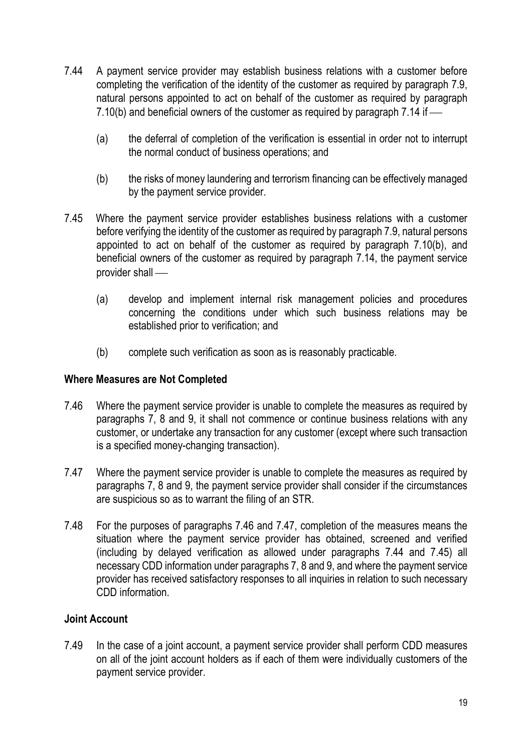- 7.44 A payment service provider may establish business relations with a customer before completing the verification of the identity of the customer as required by paragraph 7.9, natural persons appointed to act on behalf of the customer as required by paragraph 7.10(b) and beneficial owners of the customer as required by paragraph 7.14 if
	- (a) the deferral of completion of the verification is essential in order not to interrupt the normal conduct of business operations; and
	- (b) the risks of money laundering and terrorism financing can be effectively managed by the payment service provider.
- 7.45 Where the payment service provider establishes business relations with a customer before verifying the identity of the customer as required by paragraph 7.9, natural persons appointed to act on behalf of the customer as required by paragraph 7.10(b), and beneficial owners of the customer as required by paragraph 7.14, the payment service provider shall
	- (a) develop and implement internal risk management policies and procedures concerning the conditions under which such business relations may be established prior to verification; and
	- (b) complete such verification as soon as is reasonably practicable.

### Where Measures are Not Completed

- 7.46 Where the payment service provider is unable to complete the measures as required by paragraphs 7, 8 and 9, it shall not commence or continue business relations with any customer, or undertake any transaction for any customer (except where such transaction is a specified money-changing transaction).
- 7.47 Where the payment service provider is unable to complete the measures as required by paragraphs 7, 8 and 9, the payment service provider shall consider if the circumstances are suspicious so as to warrant the filing of an STR.
- 7.48 For the purposes of paragraphs 7.46 and 7.47, completion of the measures means the situation where the payment service provider has obtained, screened and verified (including by delayed verification as allowed under paragraphs 7.44 and 7.45) all necessary CDD information under paragraphs 7, 8 and 9, and where the payment service provider has received satisfactory responses to all inquiries in relation to such necessary CDD information.

## Joint Account

7.49 In the case of a joint account, a payment service provider shall perform CDD measures on all of the joint account holders as if each of them were individually customers of the payment service provider.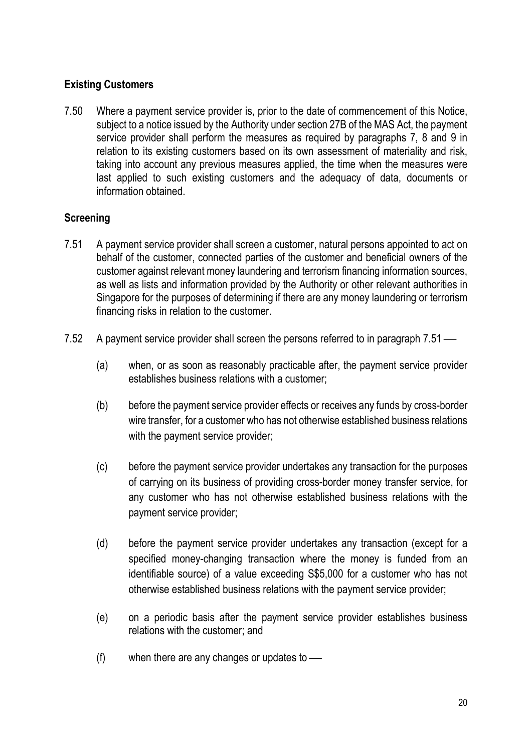## Existing Customers

7.50 Where a payment service provider is, prior to the date of commencement of this Notice, subject to a notice issued by the Authority under section 27B of the MAS Act, the payment service provider shall perform the measures as required by paragraphs 7, 8 and 9 in relation to its existing customers based on its own assessment of materiality and risk, taking into account any previous measures applied, the time when the measures were last applied to such existing customers and the adequacy of data, documents or information obtained.

# **Screening**

- 7.51 A payment service provider shall screen a customer, natural persons appointed to act on behalf of the customer, connected parties of the customer and beneficial owners of the customer against relevant money laundering and terrorism financing information sources, as well as lists and information provided by the Authority or other relevant authorities in Singapore for the purposes of determining if there are any money laundering or terrorism financing risks in relation to the customer.
- 7.52 A payment service provider shall screen the persons referred to in paragraph 7.51
	- (a) when, or as soon as reasonably practicable after, the payment service provider establishes business relations with a customer;
	- (b) before the payment service provider effects or receives any funds by cross-border wire transfer, for a customer who has not otherwise established business relations with the payment service provider;
	- (c) before the payment service provider undertakes any transaction for the purposes of carrying on its business of providing cross-border money transfer service, for any customer who has not otherwise established business relations with the payment service provider;
	- (d) before the payment service provider undertakes any transaction (except for a specified money-changing transaction where the money is funded from an identifiable source) of a value exceeding S\$5,000 for a customer who has not otherwise established business relations with the payment service provider;
	- (e) on a periodic basis after the payment service provider establishes business relations with the customer; and
	- $(f)$  when there are any changes or updates to  $\frac{f}{f}$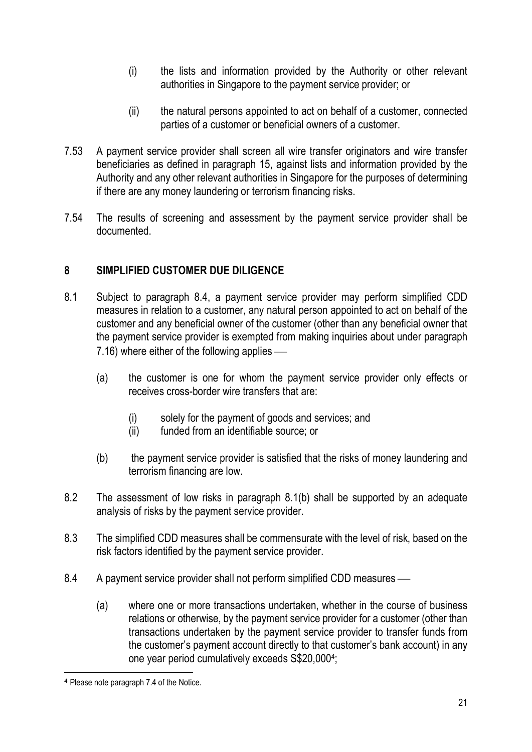- (i) the lists and information provided by the Authority or other relevant authorities in Singapore to the payment service provider; or
- (ii) the natural persons appointed to act on behalf of a customer, connected parties of a customer or beneficial owners of a customer.
- 7.53 A payment service provider shall screen all wire transfer originators and wire transfer beneficiaries as defined in paragraph 15, against lists and information provided by the Authority and any other relevant authorities in Singapore for the purposes of determining if there are any money laundering or terrorism financing risks.
- 7.54 The results of screening and assessment by the payment service provider shall be documented.

# 8 SIMPLIFIED CUSTOMER DUE DILIGENCE

- 8.1 Subject to paragraph 8.4, a payment service provider may perform simplified CDD measures in relation to a customer, any natural person appointed to act on behalf of the customer and any beneficial owner of the customer (other than any beneficial owner that the payment service provider is exempted from making inquiries about under paragraph 7.16) where either of the following applies
	- (a) the customer is one for whom the payment service provider only effects or receives cross-border wire transfers that are:
		- (i) solely for the payment of goods and services; and
		- (ii) funded from an identifiable source; or
	- (b) the payment service provider is satisfied that the risks of money laundering and terrorism financing are low.
- 8.2 The assessment of low risks in paragraph 8.1(b) shall be supported by an adequate analysis of risks by the payment service provider.
- 8.3 The simplified CDD measures shall be commensurate with the level of risk, based on the risk factors identified by the payment service provider.
- 8.4 A payment service provider shall not perform simplified CDD measures
	- (a) where one or more transactions undertaken, whether in the course of business relations or otherwise, by the payment service provider for a customer (other than transactions undertaken by the payment service provider to transfer funds from the customer's payment account directly to that customer's bank account) in any one year period cumulatively exceeds S\$20,000<sup>4</sup> ;

<sup>4</sup> Please note paragraph 7.4 of the Notice.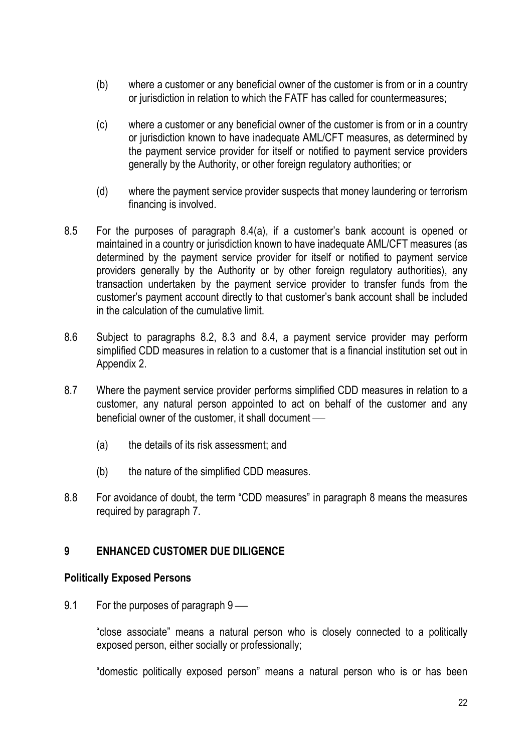- (b) where a customer or any beneficial owner of the customer is from or in a country or jurisdiction in relation to which the FATF has called for countermeasures;
- (c) where a customer or any beneficial owner of the customer is from or in a country or jurisdiction known to have inadequate AML/CFT measures, as determined by the payment service provider for itself or notified to payment service providers generally by the Authority, or other foreign regulatory authorities; or
- (d) where the payment service provider suspects that money laundering or terrorism financing is involved.
- 8.5 For the purposes of paragraph 8.4(a), if a customer's bank account is opened or maintained in a country or jurisdiction known to have inadequate AML/CFT measures (as determined by the payment service provider for itself or notified to payment service providers generally by the Authority or by other foreign regulatory authorities), any transaction undertaken by the payment service provider to transfer funds from the customer's payment account directly to that customer's bank account shall be included in the calculation of the cumulative limit.
- 8.6 Subject to paragraphs 8.2, 8.3 and 8.4, a payment service provider may perform simplified CDD measures in relation to a customer that is a financial institution set out in Appendix 2.
- 8.7 Where the payment service provider performs simplified CDD measures in relation to a customer, any natural person appointed to act on behalf of the customer and any beneficial owner of the customer, it shall document
	- (a) the details of its risk assessment; and
	- (b) the nature of the simplified CDD measures.
- 8.8 For avoidance of doubt, the term "CDD measures" in paragraph 8 means the measures required by paragraph 7.

### 9 ENHANCED CUSTOMER DUE DILIGENCE

### Politically Exposed Persons

9.1 For the purposes of paragraph 9

"close associate" means a natural person who is closely connected to a politically exposed person, either socially or professionally;

"domestic politically exposed person" means a natural person who is or has been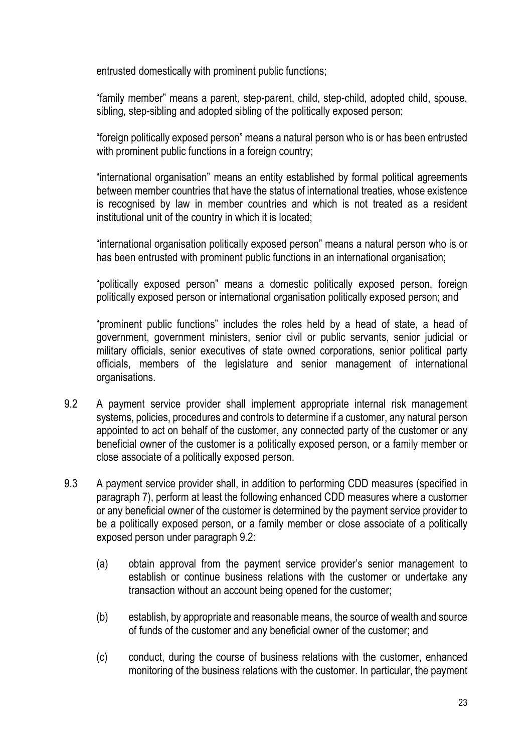entrusted domestically with prominent public functions;

"family member" means a parent, step-parent, child, step-child, adopted child, spouse, sibling, step-sibling and adopted sibling of the politically exposed person;

"foreign politically exposed person" means a natural person who is or has been entrusted with prominent public functions in a foreign country;

"international organisation" means an entity established by formal political agreements between member countries that have the status of international treaties, whose existence is recognised by law in member countries and which is not treated as a resident institutional unit of the country in which it is located;

"international organisation politically exposed person" means a natural person who is or has been entrusted with prominent public functions in an international organisation;

"politically exposed person" means a domestic politically exposed person, foreign politically exposed person or international organisation politically exposed person; and

"prominent public functions" includes the roles held by a head of state, a head of government, government ministers, senior civil or public servants, senior judicial or military officials, senior executives of state owned corporations, senior political party officials, members of the legislature and senior management of international organisations.

- 9.2 A payment service provider shall implement appropriate internal risk management systems, policies, procedures and controls to determine if a customer, any natural person appointed to act on behalf of the customer, any connected party of the customer or any beneficial owner of the customer is a politically exposed person, or a family member or close associate of a politically exposed person.
- 9.3 A payment service provider shall, in addition to performing CDD measures (specified in paragraph 7), perform at least the following enhanced CDD measures where a customer or any beneficial owner of the customer is determined by the payment service provider to be a politically exposed person, or a family member or close associate of a politically exposed person under paragraph 9.2:
	- (a) obtain approval from the payment service provider's senior management to establish or continue business relations with the customer or undertake any transaction without an account being opened for the customer;
	- (b) establish, by appropriate and reasonable means, the source of wealth and source of funds of the customer and any beneficial owner of the customer; and
	- (c) conduct, during the course of business relations with the customer, enhanced monitoring of the business relations with the customer. In particular, the payment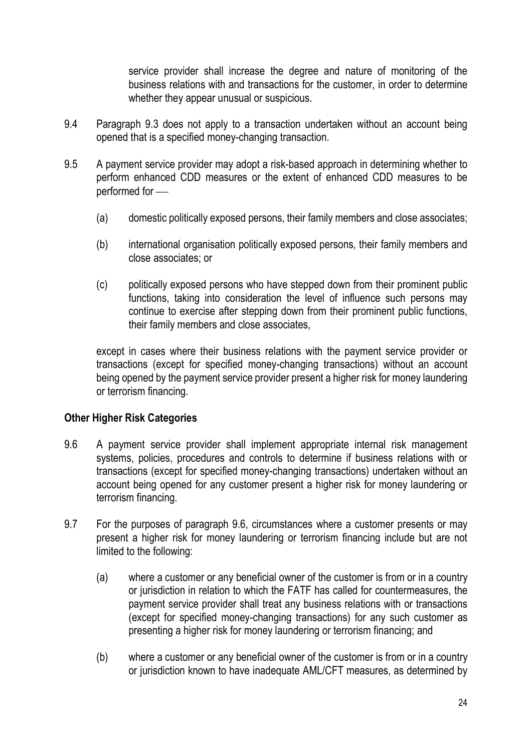service provider shall increase the degree and nature of monitoring of the business relations with and transactions for the customer, in order to determine whether they appear unusual or suspicious.

- 9.4 Paragraph 9.3 does not apply to a transaction undertaken without an account being opened that is a specified money-changing transaction.
- 9.5 A payment service provider may adopt a risk-based approach in determining whether to perform enhanced CDD measures or the extent of enhanced CDD measures to be performed for
	- (a) domestic politically exposed persons, their family members and close associates;
	- (b) international organisation politically exposed persons, their family members and close associates; or
	- (c) politically exposed persons who have stepped down from their prominent public functions, taking into consideration the level of influence such persons may continue to exercise after stepping down from their prominent public functions, their family members and close associates,

except in cases where their business relations with the payment service provider or transactions (except for specified money-changing transactions) without an account being opened by the payment service provider present a higher risk for money laundering or terrorism financing.

### Other Higher Risk Categories

- 9.6 A payment service provider shall implement appropriate internal risk management systems, policies, procedures and controls to determine if business relations with or transactions (except for specified money-changing transactions) undertaken without an account being opened for any customer present a higher risk for money laundering or terrorism financing.
- 9.7 For the purposes of paragraph 9.6, circumstances where a customer presents or may present a higher risk for money laundering or terrorism financing include but are not limited to the following:
	- (a) where a customer or any beneficial owner of the customer is from or in a country or jurisdiction in relation to which the FATF has called for countermeasures, the payment service provider shall treat any business relations with or transactions (except for specified money-changing transactions) for any such customer as presenting a higher risk for money laundering or terrorism financing; and
	- (b) where a customer or any beneficial owner of the customer is from or in a country or jurisdiction known to have inadequate AML/CFT measures, as determined by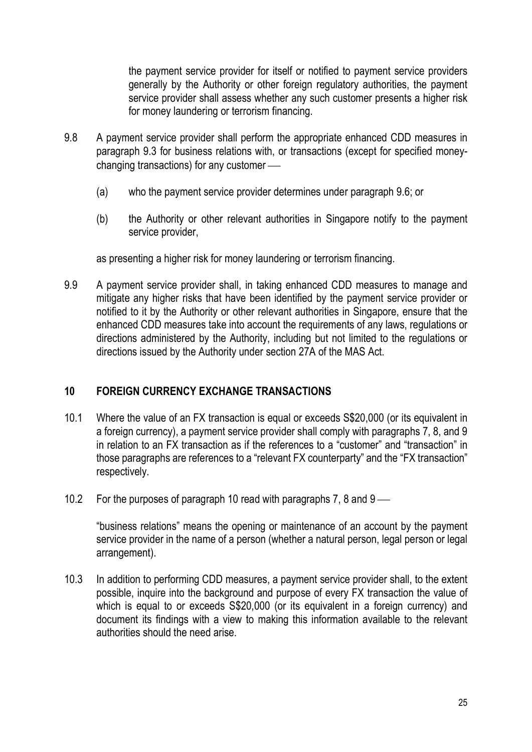the payment service provider for itself or notified to payment service providers generally by the Authority or other foreign regulatory authorities, the payment service provider shall assess whether any such customer presents a higher risk for money laundering or terrorism financing.

- 9.8 A payment service provider shall perform the appropriate enhanced CDD measures in paragraph 9.3 for business relations with, or transactions (except for specified moneychanging transactions) for any customer
	- (a) who the payment service provider determines under paragraph 9.6; or
	- (b) the Authority or other relevant authorities in Singapore notify to the payment service provider.

as presenting a higher risk for money laundering or terrorism financing.

9.9 A payment service provider shall, in taking enhanced CDD measures to manage and mitigate any higher risks that have been identified by the payment service provider or notified to it by the Authority or other relevant authorities in Singapore, ensure that the enhanced CDD measures take into account the requirements of any laws, regulations or directions administered by the Authority, including but not limited to the regulations or directions issued by the Authority under section 27A of the MAS Act.

## 10 FOREIGN CURRENCY EXCHANGE TRANSACTIONS

- 10.1 Where the value of an FX transaction is equal or exceeds S\$20,000 (or its equivalent in a foreign currency), a payment service provider shall comply with paragraphs 7, 8, and 9 in relation to an FX transaction as if the references to a "customer" and "transaction" in those paragraphs are references to a "relevant FX counterparty" and the "FX transaction" respectively.
- 10.2 For the purposes of paragraph 10 read with paragraphs 7, 8 and 9

"business relations" means the opening or maintenance of an account by the payment service provider in the name of a person (whether a natural person, legal person or legal arrangement).

10.3 In addition to performing CDD measures, a payment service provider shall, to the extent possible, inquire into the background and purpose of every FX transaction the value of which is equal to or exceeds  $$$20,000$  (or its equivalent in a foreign currency) and document its findings with a view to making this information available to the relevant authorities should the need arise.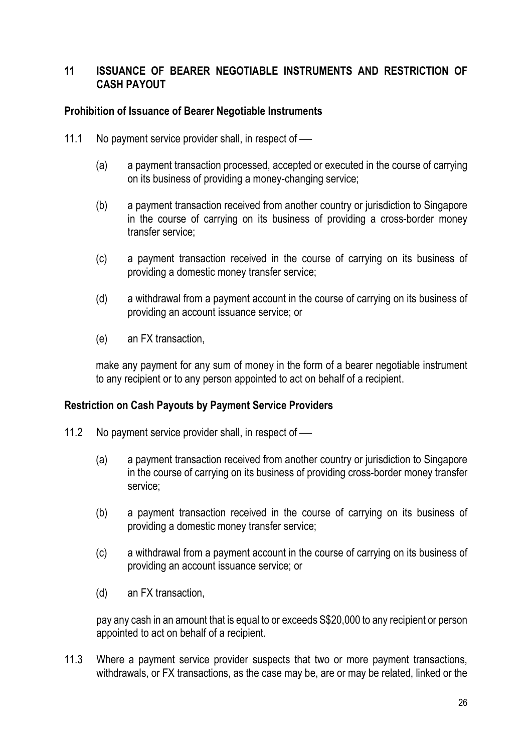### 11 ISSUANCE OF BEARER NEGOTIABLE INSTRUMENTS AND RESTRICTION OF CASH PAYOUT

### Prohibition of Issuance of Bearer Negotiable Instruments

- 11.1 No payment service provider shall, in respect of
	- (a) a payment transaction processed, accepted or executed in the course of carrying on its business of providing a money-changing service;
	- (b) a payment transaction received from another country or jurisdiction to Singapore in the course of carrying on its business of providing a cross-border money transfer service;
	- (c) a payment transaction received in the course of carrying on its business of providing a domestic money transfer service;
	- (d) a withdrawal from a payment account in the course of carrying on its business of providing an account issuance service; or
	- (e) an FX transaction,

make any payment for any sum of money in the form of a bearer negotiable instrument to any recipient or to any person appointed to act on behalf of a recipient.

### Restriction on Cash Payouts by Payment Service Providers

- 11.2 No payment service provider shall, in respect of -
	- (a) a payment transaction received from another country or jurisdiction to Singapore in the course of carrying on its business of providing cross-border money transfer service;
	- (b) a payment transaction received in the course of carrying on its business of providing a domestic money transfer service;
	- (c) a withdrawal from a payment account in the course of carrying on its business of providing an account issuance service; or
	- (d) an FX transaction,

pay any cash in an amount that is equal to or exceeds S\$20,000 to any recipient or person appointed to act on behalf of a recipient.

11.3 Where a payment service provider suspects that two or more payment transactions, withdrawals, or FX transactions, as the case may be, are or may be related, linked or the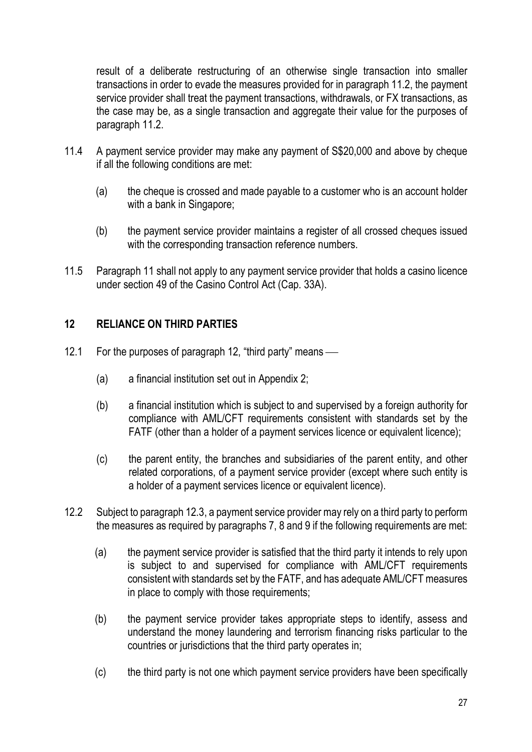result of a deliberate restructuring of an otherwise single transaction into smaller transactions in order to evade the measures provided for in paragraph 11.2, the payment service provider shall treat the payment transactions, withdrawals, or FX transactions, as the case may be, as a single transaction and aggregate their value for the purposes of paragraph 11.2.

- 11.4 A payment service provider may make any payment of S\$20,000 and above by cheque if all the following conditions are met:
	- (a) the cheque is crossed and made payable to a customer who is an account holder with a bank in Singapore;
	- (b) the payment service provider maintains a register of all crossed cheques issued with the corresponding transaction reference numbers.
- 11.5 Paragraph 11 shall not apply to any payment service provider that holds a casino licence under section 49 of the Casino Control Act (Cap. 33A).

### 12 RELIANCE ON THIRD PARTIES

- 12.1 For the purposes of paragraph 12, "third party" means
	- (a) a financial institution set out in Appendix 2;
	- (b) a financial institution which is subject to and supervised by a foreign authority for compliance with AML/CFT requirements consistent with standards set by the FATF (other than a holder of a payment services licence or equivalent licence);
	- (c) the parent entity, the branches and subsidiaries of the parent entity, and other related corporations, of a payment service provider (except where such entity is a holder of a payment services licence or equivalent licence).
- 12.2 Subject to paragraph 12.3, a payment service provider may rely on a third party to perform the measures as required by paragraphs 7, 8 and 9 if the following requirements are met:
	- (a) the payment service provider is satisfied that the third party it intends to rely upon is subject to and supervised for compliance with AML/CFT requirements consistent with standards set by the FATF, and has adequate AML/CFT measures in place to comply with those requirements;
	- (b) the payment service provider takes appropriate steps to identify, assess and understand the money laundering and terrorism financing risks particular to the countries or jurisdictions that the third party operates in;
	- (c) the third party is not one which payment service providers have been specifically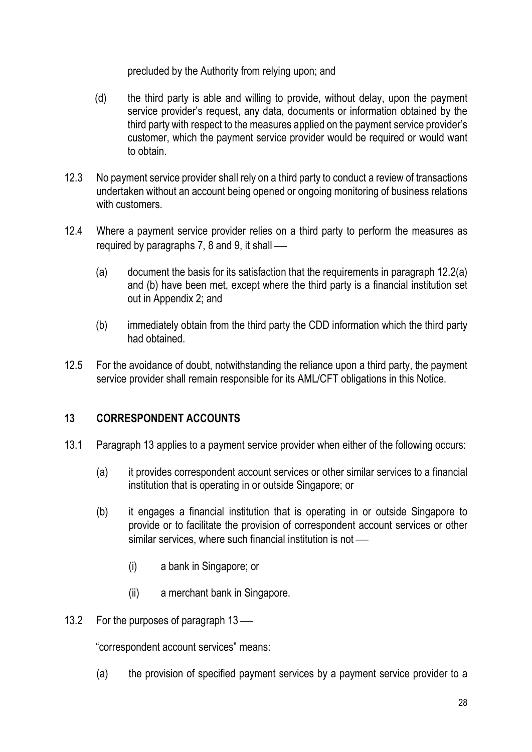precluded by the Authority from relying upon; and

- (d) the third party is able and willing to provide, without delay, upon the payment service provider's request, any data, documents or information obtained by the third party with respect to the measures applied on the payment service provider's customer, which the payment service provider would be required or would want to obtain.
- 12.3 No payment service provider shall rely on a third party to conduct a review of transactions undertaken without an account being opened or ongoing monitoring of business relations with customers.
- 12.4 Where a payment service provider relies on a third party to perform the measures as required by paragraphs 7, 8 and 9, it shall
	- (a) document the basis for its satisfaction that the requirements in paragraph 12.2(a) and (b) have been met, except where the third party is a financial institution set out in Appendix 2; and
	- (b) immediately obtain from the third party the CDD information which the third party had obtained.
- 12.5 For the avoidance of doubt, notwithstanding the reliance upon a third party, the payment service provider shall remain responsible for its AML/CFT obligations in this Notice.

## 13 CORRESPONDENT ACCOUNTS

- 13.1 Paragraph 13 applies to a payment service provider when either of the following occurs:
	- (a) it provides correspondent account services or other similar services to a financial institution that is operating in or outside Singapore; or
	- (b) it engages a financial institution that is operating in or outside Singapore to provide or to facilitate the provision of correspondent account services or other similar services, where such financial institution is not -
		- (i) a bank in Singapore; or
		- (ii) a merchant bank in Singapore.
- 13.2 For the purposes of paragraph 13

"correspondent account services" means:

(a) the provision of specified payment services by a payment service provider to a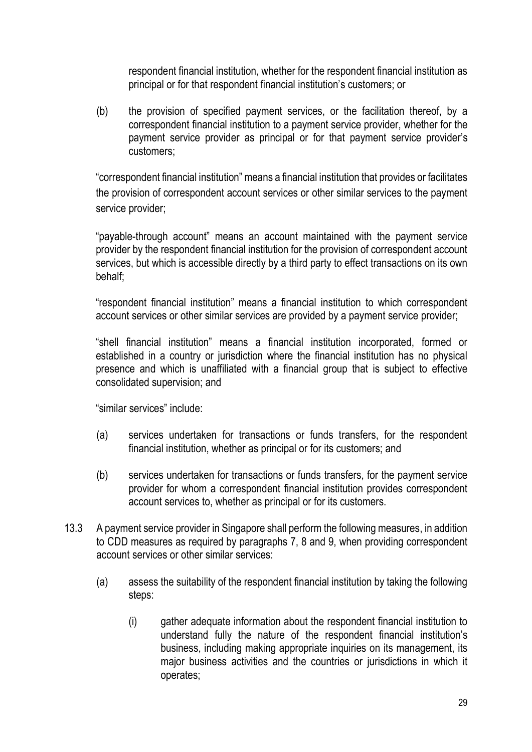respondent financial institution, whether for the respondent financial institution as principal or for that respondent financial institution's customers; or

(b) the provision of specified payment services, or the facilitation thereof, by a correspondent financial institution to a payment service provider, whether for the payment service provider as principal or for that payment service provider's customers;

"correspondent financial institution" means a financial institution that provides or facilitates the provision of correspondent account services or other similar services to the payment service provider;

"payable-through account" means an account maintained with the payment service provider by the respondent financial institution for the provision of correspondent account services, but which is accessible directly by a third party to effect transactions on its own behalf;

"respondent financial institution" means a financial institution to which correspondent account services or other similar services are provided by a payment service provider;

"shell financial institution" means a financial institution incorporated, formed or established in a country or jurisdiction where the financial institution has no physical presence and which is unaffiliated with a financial group that is subject to effective consolidated supervision; and

"similar services" include:

- (a) services undertaken for transactions or funds transfers, for the respondent financial institution, whether as principal or for its customers; and
- (b) services undertaken for transactions or funds transfers, for the payment service provider for whom a correspondent financial institution provides correspondent account services to, whether as principal or for its customers.
- 13.3 A payment service provider in Singapore shall perform the following measures, in addition to CDD measures as required by paragraphs 7, 8 and 9, when providing correspondent account services or other similar services:
	- (a) assess the suitability of the respondent financial institution by taking the following steps:
		- (i) gather adequate information about the respondent financial institution to understand fully the nature of the respondent financial institution's business, including making appropriate inquiries on its management, its major business activities and the countries or jurisdictions in which it operates;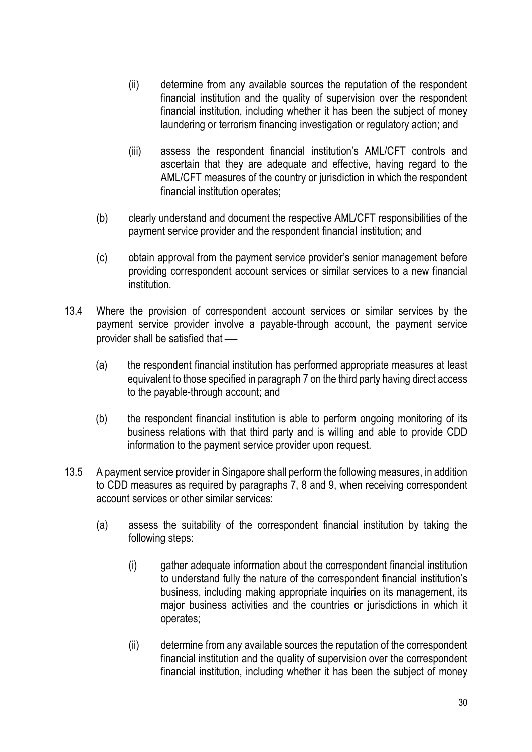- (ii) determine from any available sources the reputation of the respondent financial institution and the quality of supervision over the respondent financial institution, including whether it has been the subject of money laundering or terrorism financing investigation or regulatory action; and
- (iii) assess the respondent financial institution's AML/CFT controls and ascertain that they are adequate and effective, having regard to the AML/CFT measures of the country or jurisdiction in which the respondent financial institution operates;
- (b) clearly understand and document the respective AML/CFT responsibilities of the payment service provider and the respondent financial institution; and
- (c) obtain approval from the payment service provider's senior management before providing correspondent account services or similar services to a new financial institution.
- 13.4 Where the provision of correspondent account services or similar services by the payment service provider involve a payable-through account, the payment service provider shall be satisfied that
	- (a) the respondent financial institution has performed appropriate measures at least equivalent to those specified in paragraph 7 on the third party having direct access to the payable-through account; and
	- (b) the respondent financial institution is able to perform ongoing monitoring of its business relations with that third party and is willing and able to provide CDD information to the payment service provider upon request.
- 13.5 A payment service provider in Singapore shall perform the following measures, in addition to CDD measures as required by paragraphs 7, 8 and 9, when receiving correspondent account services or other similar services:
	- (a) assess the suitability of the correspondent financial institution by taking the following steps:
		- (i) gather adequate information about the correspondent financial institution to understand fully the nature of the correspondent financial institution's business, including making appropriate inquiries on its management, its major business activities and the countries or jurisdictions in which it operates;
		- (ii) determine from any available sources the reputation of the correspondent financial institution and the quality of supervision over the correspondent financial institution, including whether it has been the subject of money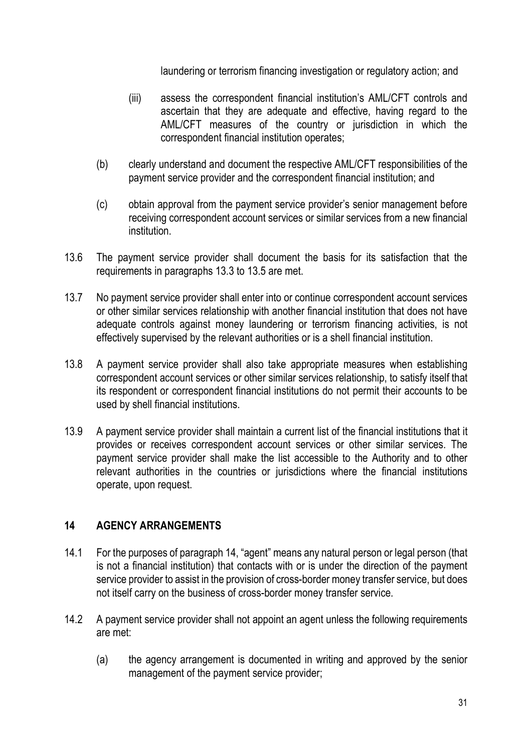laundering or terrorism financing investigation or regulatory action; and

- (iii) assess the correspondent financial institution's AML/CFT controls and ascertain that they are adequate and effective, having regard to the AML/CFT measures of the country or jurisdiction in which the correspondent financial institution operates;
- (b) clearly understand and document the respective AML/CFT responsibilities of the payment service provider and the correspondent financial institution; and
- (c) obtain approval from the payment service provider's senior management before receiving correspondent account services or similar services from a new financial institution.
- 13.6 The payment service provider shall document the basis for its satisfaction that the requirements in paragraphs 13.3 to 13.5 are met.
- 13.7 No payment service provider shall enter into or continue correspondent account services or other similar services relationship with another financial institution that does not have adequate controls against money laundering or terrorism financing activities, is not effectively supervised by the relevant authorities or is a shell financial institution.
- 13.8 A payment service provider shall also take appropriate measures when establishing correspondent account services or other similar services relationship, to satisfy itself that its respondent or correspondent financial institutions do not permit their accounts to be used by shell financial institutions.
- 13.9 A payment service provider shall maintain a current list of the financial institutions that it provides or receives correspondent account services or other similar services. The payment service provider shall make the list accessible to the Authority and to other relevant authorities in the countries or jurisdictions where the financial institutions operate, upon request.

## 14 AGENCY ARRANGEMENTS

- 14.1 For the purposes of paragraph 14, "agent" means any natural person or legal person (that is not a financial institution) that contacts with or is under the direction of the payment service provider to assist in the provision of cross-border money transfer service, but does not itself carry on the business of cross-border money transfer service.
- 14.2 A payment service provider shall not appoint an agent unless the following requirements are met:
	- (a) the agency arrangement is documented in writing and approved by the senior management of the payment service provider;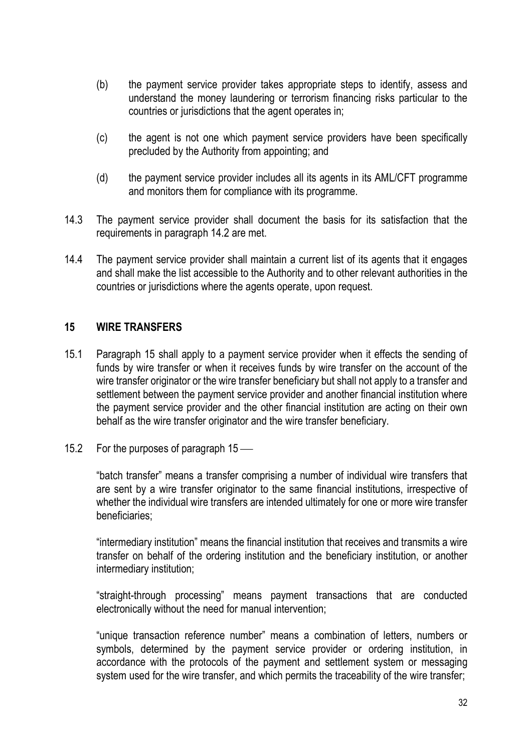- (b) the payment service provider takes appropriate steps to identify, assess and understand the money laundering or terrorism financing risks particular to the countries or jurisdictions that the agent operates in;
- (c) the agent is not one which payment service providers have been specifically precluded by the Authority from appointing; and
- (d) the payment service provider includes all its agents in its AML/CFT programme and monitors them for compliance with its programme.
- 14.3 The payment service provider shall document the basis for its satisfaction that the requirements in paragraph 14.2 are met.
- 14.4 The payment service provider shall maintain a current list of its agents that it engages and shall make the list accessible to the Authority and to other relevant authorities in the countries or jurisdictions where the agents operate, upon request.

### 15 WIRE TRANSFERS

- 15.1 Paragraph 15 shall apply to a payment service provider when it effects the sending of funds by wire transfer or when it receives funds by wire transfer on the account of the wire transfer originator or the wire transfer beneficiary but shall not apply to a transfer and settlement between the payment service provider and another financial institution where the payment service provider and the other financial institution are acting on their own behalf as the wire transfer originator and the wire transfer beneficiary.
- 15.2 For the purposes of paragraph 15 —

"batch transfer" means a transfer comprising a number of individual wire transfers that are sent by a wire transfer originator to the same financial institutions, irrespective of whether the individual wire transfers are intended ultimately for one or more wire transfer beneficiaries;

"intermediary institution" means the financial institution that receives and transmits a wire transfer on behalf of the ordering institution and the beneficiary institution, or another intermediary institution;

"straight-through processing" means payment transactions that are conducted electronically without the need for manual intervention;

"unique transaction reference number" means a combination of letters, numbers or symbols, determined by the payment service provider or ordering institution, in accordance with the protocols of the payment and settlement system or messaging system used for the wire transfer, and which permits the traceability of the wire transfer;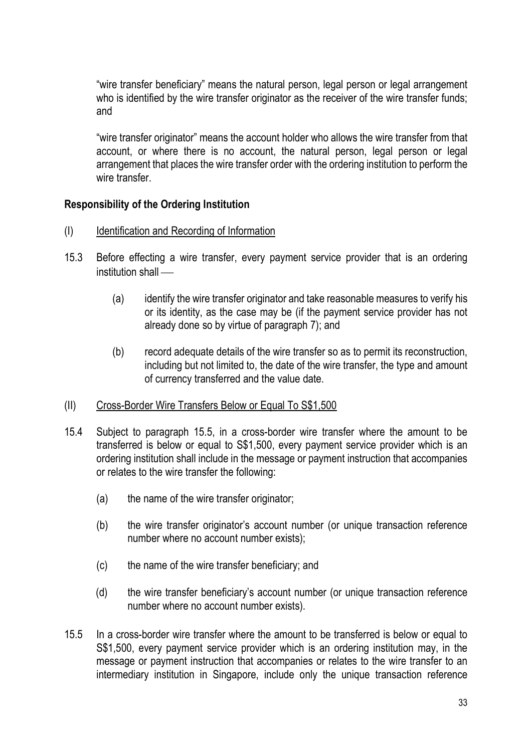"wire transfer beneficiary" means the natural person, legal person or legal arrangement who is identified by the wire transfer originator as the receiver of the wire transfer funds; and

"wire transfer originator" means the account holder who allows the wire transfer from that account, or where there is no account, the natural person, legal person or legal arrangement that places the wire transfer order with the ordering institution to perform the wire transfer

### Responsibility of the Ordering Institution

- (I) Identification and Recording of Information
- 15.3 Before effecting a wire transfer, every payment service provider that is an ordering institution shall —
	- (a) identify the wire transfer originator and take reasonable measures to verify his or its identity, as the case may be (if the payment service provider has not already done so by virtue of paragraph 7); and
	- (b) record adequate details of the wire transfer so as to permit its reconstruction, including but not limited to, the date of the wire transfer, the type and amount of currency transferred and the value date.
- (II) Cross-Border Wire Transfers Below or Equal To S\$1,500
- 15.4 Subject to paragraph 15.5, in a cross-border wire transfer where the amount to be transferred is below or equal to S\$1,500, every payment service provider which is an ordering institution shall include in the message or payment instruction that accompanies or relates to the wire transfer the following:
	- (a) the name of the wire transfer originator;
	- (b) the wire transfer originator's account number (or unique transaction reference number where no account number exists);
	- (c) the name of the wire transfer beneficiary; and
	- (d) the wire transfer beneficiary's account number (or unique transaction reference number where no account number exists).
- 15.5 In a cross-border wire transfer where the amount to be transferred is below or equal to S\$1,500, every payment service provider which is an ordering institution may, in the message or payment instruction that accompanies or relates to the wire transfer to an intermediary institution in Singapore, include only the unique transaction reference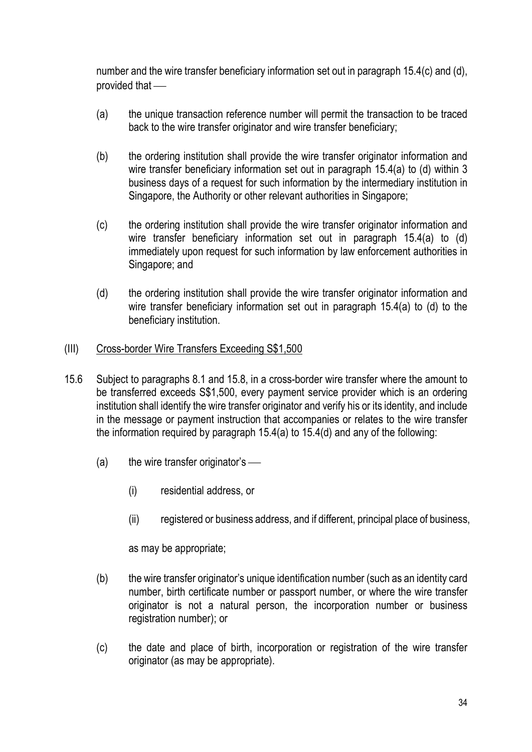number and the wire transfer beneficiary information set out in paragraph 15.4(c) and (d), provided that

- (a) the unique transaction reference number will permit the transaction to be traced back to the wire transfer originator and wire transfer beneficiary;
- (b) the ordering institution shall provide the wire transfer originator information and wire transfer beneficiary information set out in paragraph 15.4(a) to (d) within 3 business days of a request for such information by the intermediary institution in Singapore, the Authority or other relevant authorities in Singapore;
- (c) the ordering institution shall provide the wire transfer originator information and wire transfer beneficiary information set out in paragraph 15.4(a) to (d) immediately upon request for such information by law enforcement authorities in Singapore; and
- (d) the ordering institution shall provide the wire transfer originator information and wire transfer beneficiary information set out in paragraph 15.4(a) to (d) to the beneficiary institution.

### (III) Cross-border Wire Transfers Exceeding S\$1,500

- 15.6 Subject to paragraphs 8.1 and 15.8, in a cross-border wire transfer where the amount to be transferred exceeds S\$1,500, every payment service provider which is an ordering institution shall identify the wire transfer originator and verify his or its identity, and include in the message or payment instruction that accompanies or relates to the wire transfer the information required by paragraph 15.4(a) to 15.4(d) and any of the following:
	- $(a)$  the wire transfer originator's
		- (i) residential address, or
		- (ii) registered or business address, and if different, principal place of business,

as may be appropriate;

- (b) the wire transfer originator's unique identification number (such as an identity card number, birth certificate number or passport number, or where the wire transfer originator is not a natural person, the incorporation number or business registration number); or
- (c) the date and place of birth, incorporation or registration of the wire transfer originator (as may be appropriate).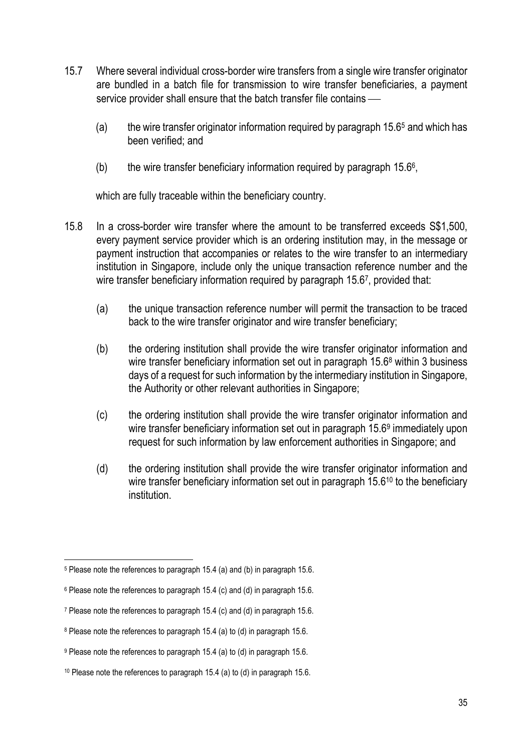- 15.7 Where several individual cross-border wire transfers from a single wire transfer originator are bundled in a batch file for transmission to wire transfer beneficiaries, a payment service provider shall ensure that the batch transfer file contains —
	- (a) the wire transfer originator information required by paragraph 15.6<sup>5</sup> and which has been verified; and
	- (b) the wire transfer beneficiary information required by paragraph  $15.6^{\circ}$ ,

which are fully traceable within the beneficiary country.

- 15.8 In a cross-border wire transfer where the amount to be transferred exceeds S\$1,500, every payment service provider which is an ordering institution may, in the message or payment instruction that accompanies or relates to the wire transfer to an intermediary institution in Singapore, include only the unique transaction reference number and the wire transfer beneficiary information required by paragraph 15.67, provided that:
	- (a) the unique transaction reference number will permit the transaction to be traced back to the wire transfer originator and wire transfer beneficiary;
	- (b) the ordering institution shall provide the wire transfer originator information and wire transfer beneficiary information set out in paragraph 15.6<sup>8</sup> within 3 business days of a request for such information by the intermediary institution in Singapore, the Authority or other relevant authorities in Singapore;
	- (c) the ordering institution shall provide the wire transfer originator information and wire transfer beneficiary information set out in paragraph 15.6<sup>9</sup> immediately upon request for such information by law enforcement authorities in Singapore; and
	- (d) the ordering institution shall provide the wire transfer originator information and wire transfer beneficiary information set out in paragraph 15.6<sup>10</sup> to the beneficiary institution.

<sup>5</sup> Please note the references to paragraph 15.4 (a) and (b) in paragraph 15.6.

<sup>6</sup> Please note the references to paragraph 15.4 (c) and (d) in paragraph 15.6.

<sup>7</sup> Please note the references to paragraph 15.4 (c) and (d) in paragraph 15.6.

<sup>&</sup>lt;sup>8</sup> Please note the references to paragraph 15.4 (a) to (d) in paragraph 15.6.

<sup>9</sup> Please note the references to paragraph 15.4 (a) to (d) in paragraph 15.6.

<sup>10</sup> Please note the references to paragraph 15.4 (a) to (d) in paragraph 15.6.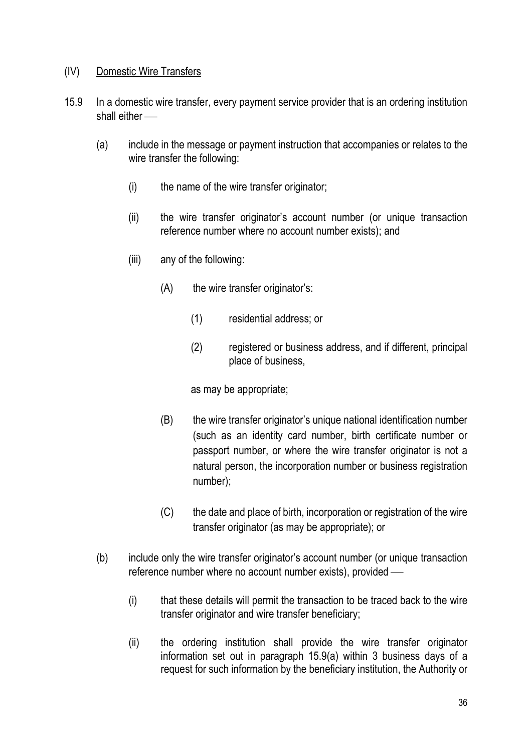### (IV) Domestic Wire Transfers

- 15.9 In a domestic wire transfer, every payment service provider that is an ordering institution shall either -
	- (a) include in the message or payment instruction that accompanies or relates to the wire transfer the following:
		- (i) the name of the wire transfer originator;
		- (ii) the wire transfer originator's account number (or unique transaction reference number where no account number exists); and
		- (iii) any of the following:
			- (A) the wire transfer originator's:
				- (1) residential address; or
				- (2) registered or business address, and if different, principal place of business,

as may be appropriate;

- (B) the wire transfer originator's unique national identification number (such as an identity card number, birth certificate number or passport number, or where the wire transfer originator is not a natural person, the incorporation number or business registration number);
- (C) the date and place of birth, incorporation or registration of the wire transfer originator (as may be appropriate); or
- (b) include only the wire transfer originator's account number (or unique transaction reference number where no account number exists), provided
	- (i) that these details will permit the transaction to be traced back to the wire transfer originator and wire transfer beneficiary;
	- (ii) the ordering institution shall provide the wire transfer originator information set out in paragraph 15.9(a) within 3 business days of a request for such information by the beneficiary institution, the Authority or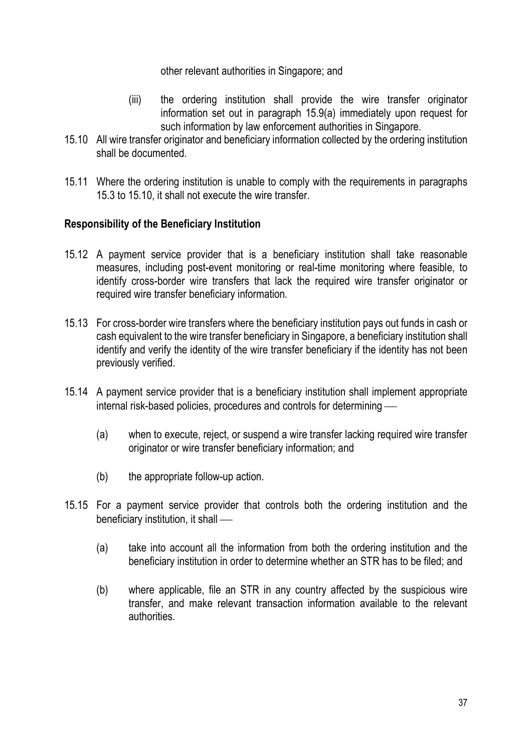other relevant authorities in Singapore; and

- (iii) the ordering institution shall provide the wire transfer originator information set out in paragraph 15.9(a) immediately upon request for such information by law enforcement authorities in Singapore.
- 15.10 All wire transfer originator and beneficiary information collected by the ordering institution shall be documented.
- 15.11 Where the ordering institution is unable to comply with the requirements in paragraphs 15.3 to 15.10, it shall not execute the wire transfer.

## Responsibility of the Beneficiary Institution

- 15.12 A payment service provider that is a beneficiary institution shall take reasonable measures, including post-event monitoring or real-time monitoring where feasible, to identify cross-border wire transfers that lack the required wire transfer originator or required wire transfer beneficiary information.
- 15.13 For cross-border wire transfers where the beneficiary institution pays out funds in cash or cash equivalent to the wire transfer beneficiary in Singapore, a beneficiary institution shall identify and verify the identity of the wire transfer beneficiary if the identity has not been previously verified.
- 15.14 A payment service provider that is a beneficiary institution shall implement appropriate internal risk-based policies, procedures and controls for determining
	- (a) when to execute, reject, or suspend a wire transfer lacking required wire transfer originator or wire transfer beneficiary information; and
	- (b) the appropriate follow-up action.
- 15.15 For a payment service provider that controls both the ordering institution and the beneficiary institution, it shall
	- (a) take into account all the information from both the ordering institution and the beneficiary institution in order to determine whether an STR has to be filed; and
	- (b) where applicable, file an STR in any country affected by the suspicious wire transfer, and make relevant transaction information available to the relevant authorities.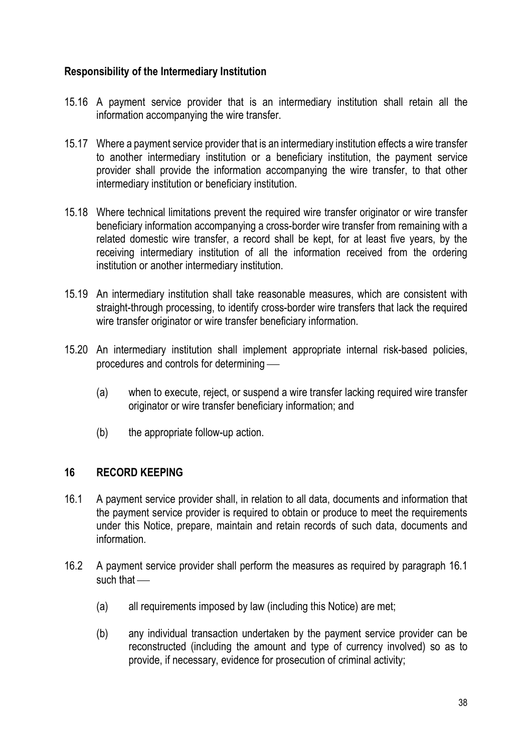## Responsibility of the Intermediary Institution

- 15.16 A payment service provider that is an intermediary institution shall retain all the information accompanying the wire transfer.
- 15.17 Where a payment service provider that is an intermediary institution effects a wire transfer to another intermediary institution or a beneficiary institution, the payment service provider shall provide the information accompanying the wire transfer, to that other intermediary institution or beneficiary institution.
- 15.18 Where technical limitations prevent the required wire transfer originator or wire transfer beneficiary information accompanying a cross-border wire transfer from remaining with a related domestic wire transfer, a record shall be kept, for at least five years, by the receiving intermediary institution of all the information received from the ordering institution or another intermediary institution.
- 15.19 An intermediary institution shall take reasonable measures, which are consistent with straight-through processing, to identify cross-border wire transfers that lack the required wire transfer originator or wire transfer beneficiary information.
- 15.20 An intermediary institution shall implement appropriate internal risk-based policies, procedures and controls for determining
	- (a) when to execute, reject, or suspend a wire transfer lacking required wire transfer originator or wire transfer beneficiary information; and
	- (b) the appropriate follow-up action.

### 16 RECORD KEEPING

- 16.1 A payment service provider shall, in relation to all data, documents and information that the payment service provider is required to obtain or produce to meet the requirements under this Notice, prepare, maintain and retain records of such data, documents and information.
- 16.2 A payment service provider shall perform the measures as required by paragraph 16.1 such that —
	- (a) all requirements imposed by law (including this Notice) are met;
	- (b) any individual transaction undertaken by the payment service provider can be reconstructed (including the amount and type of currency involved) so as to provide, if necessary, evidence for prosecution of criminal activity;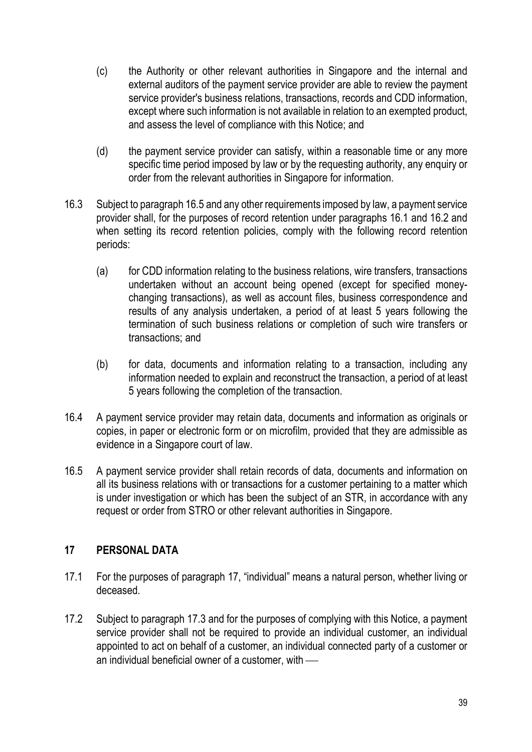- (c) the Authority or other relevant authorities in Singapore and the internal and external auditors of the payment service provider are able to review the payment service provider's business relations, transactions, records and CDD information, except where such information is not available in relation to an exempted product, and assess the level of compliance with this Notice; and
- (d) the payment service provider can satisfy, within a reasonable time or any more specific time period imposed by law or by the requesting authority, any enquiry or order from the relevant authorities in Singapore for information.
- 16.3 Subject to paragraph 16.5 and any other requirements imposed by law, a payment service provider shall, for the purposes of record retention under paragraphs 16.1 and 16.2 and when setting its record retention policies, comply with the following record retention periods:
	- (a) for CDD information relating to the business relations, wire transfers, transactions undertaken without an account being opened (except for specified moneychanging transactions), as well as account files, business correspondence and results of any analysis undertaken, a period of at least 5 years following the termination of such business relations or completion of such wire transfers or transactions; and
	- (b) for data, documents and information relating to a transaction, including any information needed to explain and reconstruct the transaction, a period of at least 5 years following the completion of the transaction.
- 16.4 A payment service provider may retain data, documents and information as originals or copies, in paper or electronic form or on microfilm, provided that they are admissible as evidence in a Singapore court of law.
- 16.5 A payment service provider shall retain records of data, documents and information on all its business relations with or transactions for a customer pertaining to a matter which is under investigation or which has been the subject of an STR, in accordance with any request or order from STRO or other relevant authorities in Singapore.

## 17 PERSONAL DATA

- 17.1 For the purposes of paragraph 17, "individual" means a natural person, whether living or deceased.
- 17.2 Subject to paragraph 17.3 and for the purposes of complying with this Notice, a payment service provider shall not be required to provide an individual customer, an individual appointed to act on behalf of a customer, an individual connected party of a customer or an individual beneficial owner of a customer, with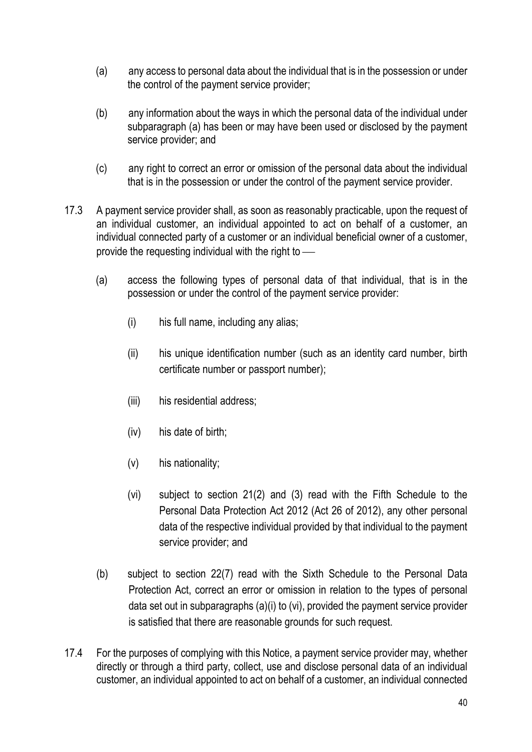- (a) any access to personal data about the individual that is in the possession or under the control of the payment service provider;
- (b) any information about the ways in which the personal data of the individual under subparagraph (a) has been or may have been used or disclosed by the payment service provider; and
- (c) any right to correct an error or omission of the personal data about the individual that is in the possession or under the control of the payment service provider.
- 17.3 A payment service provider shall, as soon as reasonably practicable, upon the request of an individual customer, an individual appointed to act on behalf of a customer, an individual connected party of a customer or an individual beneficial owner of a customer, provide the requesting individual with the right to
	- (a) access the following types of personal data of that individual, that is in the possession or under the control of the payment service provider:
		- (i) his full name, including any alias;
		- (ii) his unique identification number (such as an identity card number, birth certificate number or passport number);
		- (iii) his residential address;
		- (iv) his date of birth;
		- (v) his nationality;
		- (vi) subject to section 21(2) and (3) read with the Fifth Schedule to the Personal Data Protection Act 2012 (Act 26 of 2012), any other personal data of the respective individual provided by that individual to the payment service provider; and
	- (b) subject to section 22(7) read with the Sixth Schedule to the Personal Data Protection Act, correct an error or omission in relation to the types of personal data set out in subparagraphs (a)(i) to (vi), provided the payment service provider is satisfied that there are reasonable grounds for such request.
- 17.4 For the purposes of complying with this Notice, a payment service provider may, whether directly or through a third party, collect, use and disclose personal data of an individual customer, an individual appointed to act on behalf of a customer, an individual connected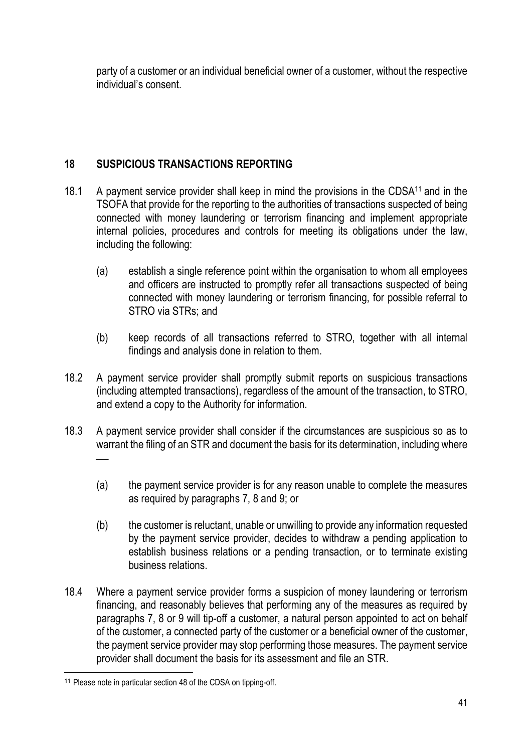party of a customer or an individual beneficial owner of a customer, without the respective individual's consent.

# 18 SUSPICIOUS TRANSACTIONS REPORTING

- 18.1 A payment service provider shall keep in mind the provisions in the CDSA<sup>11</sup> and in the TSOFA that provide for the reporting to the authorities of transactions suspected of being connected with money laundering or terrorism financing and implement appropriate internal policies, procedures and controls for meeting its obligations under the law, including the following:
	- (a) establish a single reference point within the organisation to whom all employees and officers are instructed to promptly refer all transactions suspected of being connected with money laundering or terrorism financing, for possible referral to STRO via STRs; and
	- (b) keep records of all transactions referred to STRO, together with all internal findings and analysis done in relation to them.
- 18.2 A payment service provider shall promptly submit reports on suspicious transactions (including attempted transactions), regardless of the amount of the transaction, to STRO, and extend a copy to the Authority for information.
- 18.3 A payment service provider shall consider if the circumstances are suspicious so as to warrant the filing of an STR and document the basis for its determination, including where  $\frac{1}{\sqrt{2}}$ 
	- (a) the payment service provider is for any reason unable to complete the measures as required by paragraphs 7, 8 and 9; or
	- (b) the customer is reluctant, unable or unwilling to provide any information requested by the payment service provider, decides to withdraw a pending application to establish business relations or a pending transaction, or to terminate existing business relations.
- 18.4 Where a payment service provider forms a suspicion of money laundering or terrorism financing, and reasonably believes that performing any of the measures as required by paragraphs 7, 8 or 9 will tip-off a customer, a natural person appointed to act on behalf of the customer, a connected party of the customer or a beneficial owner of the customer, the payment service provider may stop performing those measures. The payment service provider shall document the basis for its assessment and file an STR.

<sup>&</sup>lt;sup>11</sup> Please note in particular section 48 of the CDSA on tipping-off.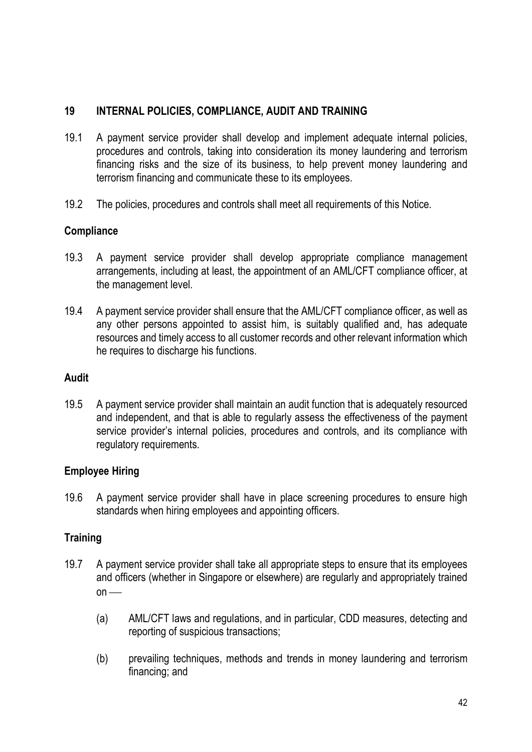## 19 INTERNAL POLICIES, COMPLIANCE, AUDIT AND TRAINING

- 19.1 A payment service provider shall develop and implement adequate internal policies, procedures and controls, taking into consideration its money laundering and terrorism financing risks and the size of its business, to help prevent money laundering and terrorism financing and communicate these to its employees.
- 19.2 The policies, procedures and controls shall meet all requirements of this Notice.

### **Compliance**

- 19.3 A payment service provider shall develop appropriate compliance management arrangements, including at least, the appointment of an AML/CFT compliance officer, at the management level.
- 19.4 A payment service provider shall ensure that the AML/CFT compliance officer, as well as any other persons appointed to assist him, is suitably qualified and, has adequate resources and timely access to all customer records and other relevant information which he requires to discharge his functions.

### Audit

19.5 A payment service provider shall maintain an audit function that is adequately resourced and independent, and that is able to regularly assess the effectiveness of the payment service provider's internal policies, procedures and controls, and its compliance with regulatory requirements.

## Employee Hiring

19.6 A payment service provider shall have in place screening procedures to ensure high standards when hiring employees and appointing officers.

### **Training**

- 19.7 A payment service provider shall take all appropriate steps to ensure that its employees and officers (whether in Singapore or elsewhere) are regularly and appropriately trained  $on$  —
	- (a) AML/CFT laws and regulations, and in particular, CDD measures, detecting and reporting of suspicious transactions;
	- (b) prevailing techniques, methods and trends in money laundering and terrorism financing; and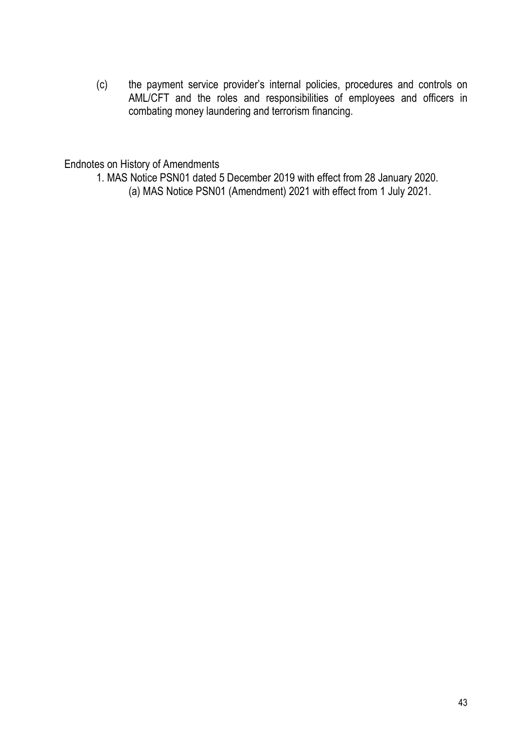(c) the payment service provider's internal policies, procedures and controls on AML/CFT and the roles and responsibilities of employees and officers in combating money laundering and terrorism financing.

Endnotes on History of Amendments

- 1. MAS Notice PSN01 dated 5 December 2019 with effect from 28 January 2020.
	- (a) MAS Notice PSN01 (Amendment) 2021 with effect from 1 July 2021.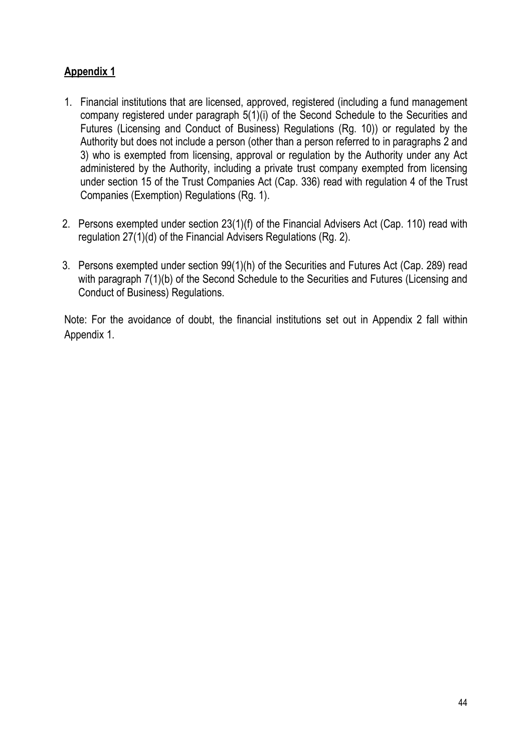# Appendix 1

- 1. Financial institutions that are licensed, approved, registered (including a fund management company registered under paragraph 5(1)(i) of the Second Schedule to the Securities and Futures (Licensing and Conduct of Business) Regulations (Rg. 10)) or regulated by the Authority but does not include a person (other than a person referred to in paragraphs 2 and 3) who is exempted from licensing, approval or regulation by the Authority under any Act administered by the Authority, including a private trust company exempted from licensing under section 15 of the Trust Companies Act (Cap. 336) read with regulation 4 of the Trust Companies (Exemption) Regulations (Rg. 1).
- 2. Persons exempted under section 23(1)(f) of the Financial Advisers Act (Cap. 110) read with regulation 27(1)(d) of the Financial Advisers Regulations (Rg. 2).
- 3. Persons exempted under section 99(1)(h) of the Securities and Futures Act (Cap. 289) read with paragraph  $7(1)(b)$  of the Second Schedule to the Securities and Futures (Licensing and Conduct of Business) Regulations.

Note: For the avoidance of doubt, the financial institutions set out in Appendix 2 fall within Appendix 1.